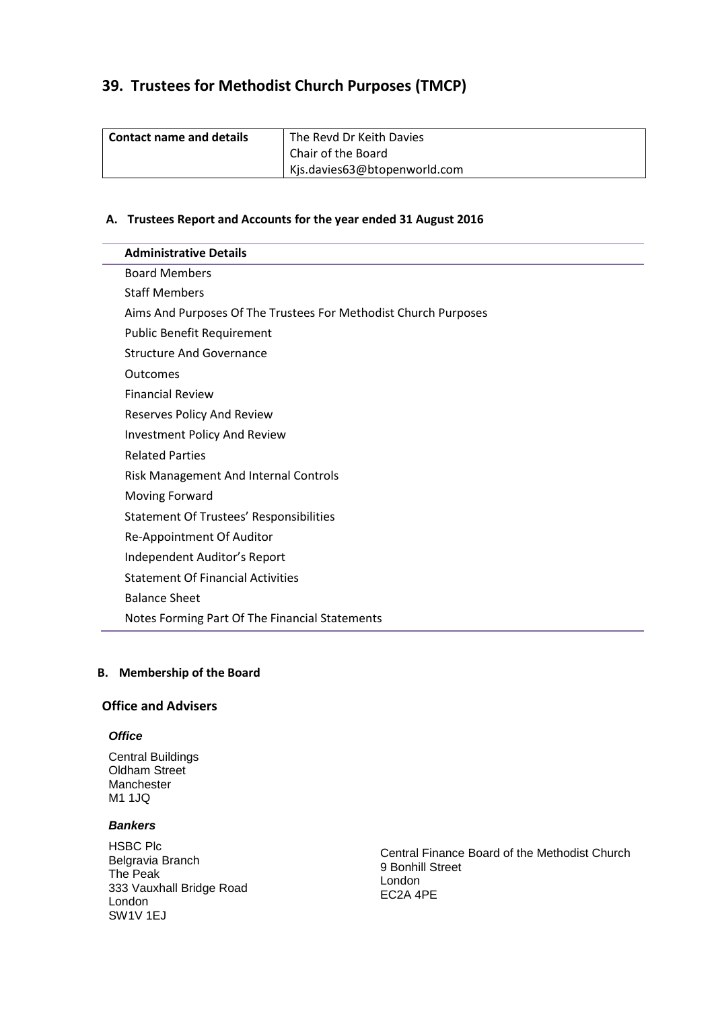# **39. Trustees for Methodist Church Purposes (TMCP)**

| <b>Contact name and details</b> | The Revd Dr Keith Davies     |
|---------------------------------|------------------------------|
|                                 | Chair of the Board           |
|                                 | Kjs.davies63@btopenworld.com |

## **A. Trustees Report and Accounts for the year ended 31 August 2016**

|                      | <b>Administrative Details</b>                                   |
|----------------------|-----------------------------------------------------------------|
|                      | <b>Board Members</b>                                            |
| <b>Staff Members</b> |                                                                 |
|                      | Aims And Purposes Of The Trustees For Methodist Church Purposes |
|                      | <b>Public Benefit Requirement</b>                               |
|                      | <b>Structure And Governance</b>                                 |
| Outcomes             |                                                                 |
|                      | <b>Financial Review</b>                                         |
|                      | <b>Reserves Policy And Review</b>                               |
|                      | <b>Investment Policy And Review</b>                             |
|                      | <b>Related Parties</b>                                          |
|                      | <b>Risk Management And Internal Controls</b>                    |
|                      | Moving Forward                                                  |
|                      | <b>Statement Of Trustees' Responsibilities</b>                  |
|                      | Re-Appointment Of Auditor                                       |
|                      | Independent Auditor's Report                                    |
|                      | <b>Statement Of Financial Activities</b>                        |
| <b>Balance Sheet</b> |                                                                 |
|                      | Notes Forming Part Of The Financial Statements                  |

# **B. Membership of the Board**

# **Office and Advisers**

# *Office*

Central Buildings Oldham Street Manchester M1 1JQ

# *Bankers*

HSBC Plc Belgravia Branch The Peak 333 Vauxhall Bridge Road London SW1V 1EJ

Central Finance Board of the Methodist Church 9 Bonhill Street London EC2A 4PE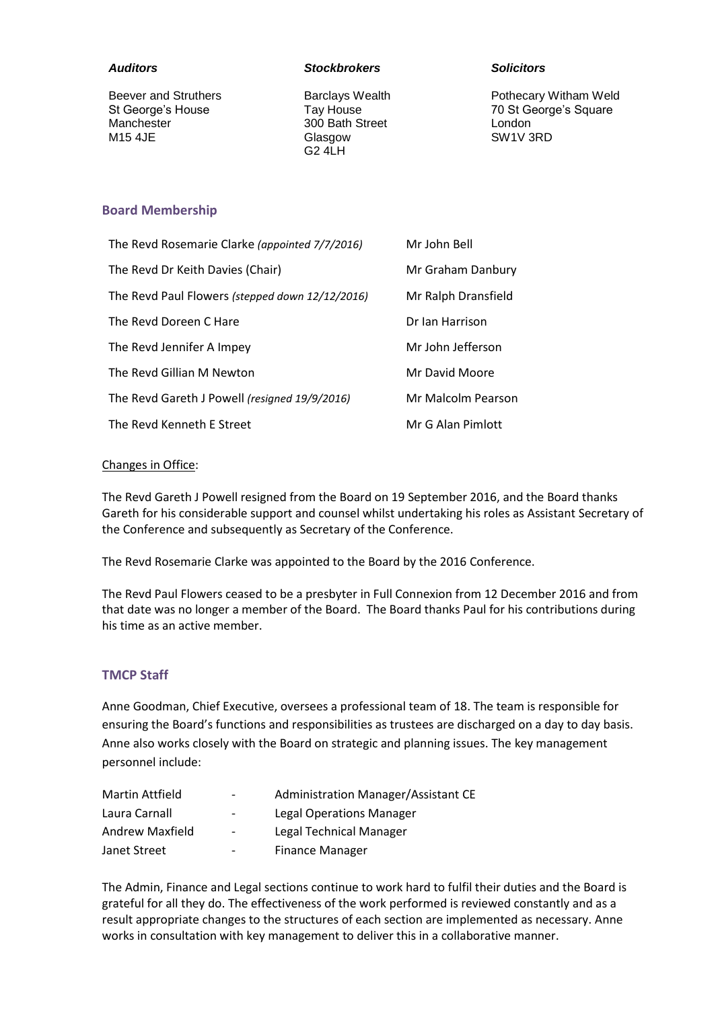#### *Auditors*

Beever and Struthers St George's House Manchester M15 4JE

#### *Stockbrokers*

Barclays Wealth Tay House 300 Bath Street Glasgow G2 4LH

#### *Solicitors*

Pothecary Witham Weld 70 St George's Square London SW1V 3RD

# **Board Membership**

| The Revd Rosemarie Clarke (appointed 7/7/2016)  | Mr John Bell        |
|-------------------------------------------------|---------------------|
| The Revd Dr Keith Davies (Chair)                | Mr Graham Danbury   |
| The Revd Paul Flowers (stepped down 12/12/2016) | Mr Ralph Dransfield |
| The Revd Doreen C Hare                          | Dr Ian Harrison     |
| The Revd Jennifer A Impey                       | Mr John Jefferson   |
| The Revd Gillian M Newton                       | Mr David Moore      |
| The Revd Gareth J Powell (resigned 19/9/2016)   | Mr Malcolm Pearson  |
| The Revd Kenneth E Street                       | Mr G Alan Pimlott   |

# Changes in Office:

The Revd Gareth J Powell resigned from the Board on 19 September 2016, and the Board thanks Gareth for his considerable support and counsel whilst undertaking his roles as Assistant Secretary of the Conference and subsequently as Secretary of the Conference.

The Revd Rosemarie Clarke was appointed to the Board by the 2016 Conference.

The Revd Paul Flowers ceased to be a presbyter in Full Connexion from 12 December 2016 and from that date was no longer a member of the Board. The Board thanks Paul for his contributions during his time as an active member.

## **TMCP Staff**

Anne Goodman, Chief Executive, oversees a professional team of 18. The team is responsible for ensuring the Board's functions and responsibilities as trustees are discharged on a day to day basis. Anne also works closely with the Board on strategic and planning issues. The key management personnel include:

| Martin Attfield | $\overline{\phantom{a}}$ | Administration Manager/Assistant CE |
|-----------------|--------------------------|-------------------------------------|
| Laura Carnall   | $\overline{\phantom{a}}$ | <b>Legal Operations Manager</b>     |
| Andrew Maxfield | $\overline{\phantom{a}}$ | Legal Technical Manager             |
| Janet Street    | $\overline{\phantom{a}}$ | <b>Finance Manager</b>              |

The Admin, Finance and Legal sections continue to work hard to fulfil their duties and the Board is grateful for all they do. The effectiveness of the work performed is reviewed constantly and as a result appropriate changes to the structures of each section are implemented as necessary. Anne works in consultation with key management to deliver this in a collaborative manner.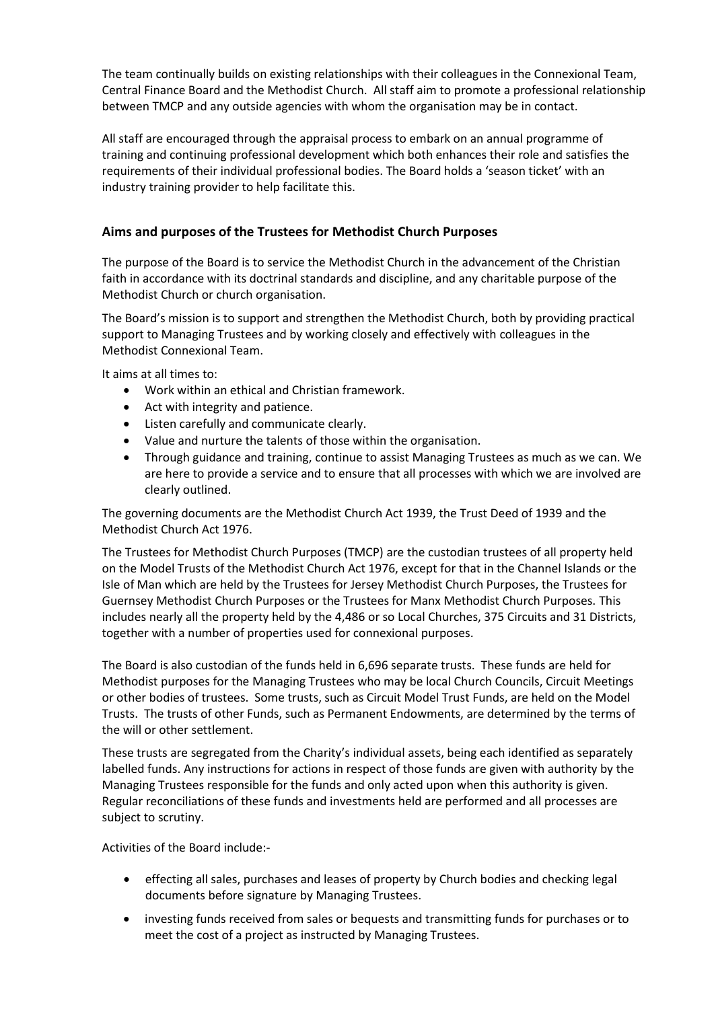The team continually builds on existing relationships with their colleagues in the Connexional Team, Central Finance Board and the Methodist Church. All staff aim to promote a professional relationship between TMCP and any outside agencies with whom the organisation may be in contact.

All staff are encouraged through the appraisal process to embark on an annual programme of training and continuing professional development which both enhances their role and satisfies the requirements of their individual professional bodies. The Board holds a 'season ticket' with an industry training provider to help facilitate this.

# **Aims and purposes of the Trustees for Methodist Church Purposes**

The purpose of the Board is to service the Methodist Church in the advancement of the Christian faith in accordance with its doctrinal standards and discipline, and any charitable purpose of the Methodist Church or church organisation.

The Board's mission is to support and strengthen the Methodist Church, both by providing practical support to Managing Trustees and by working closely and effectively with colleagues in the Methodist Connexional Team.

It aims at all times to:

- Work within an ethical and Christian framework.
- Act with integrity and patience.
- Listen carefully and communicate clearly.
- Value and nurture the talents of those within the organisation.
- Through guidance and training, continue to assist Managing Trustees as much as we can. We are here to provide a service and to ensure that all processes with which we are involved are clearly outlined.

The governing documents are the Methodist Church Act 1939, the Trust Deed of 1939 and the Methodist Church Act 1976.

The Trustees for Methodist Church Purposes (TMCP) are the custodian trustees of all property held on the Model Trusts of the Methodist Church Act 1976, except for that in the Channel Islands or the Isle of Man which are held by the Trustees for Jersey Methodist Church Purposes, the Trustees for Guernsey Methodist Church Purposes or the Trustees for Manx Methodist Church Purposes. This includes nearly all the property held by the 4,486 or so Local Churches, 375 Circuits and 31 Districts, together with a number of properties used for connexional purposes.

The Board is also custodian of the funds held in 6,696 separate trusts. These funds are held for Methodist purposes for the Managing Trustees who may be local Church Councils, Circuit Meetings or other bodies of trustees. Some trusts, such as Circuit Model Trust Funds, are held on the Model Trusts. The trusts of other Funds, such as Permanent Endowments, are determined by the terms of the will or other settlement.

These trusts are segregated from the Charity's individual assets, being each identified as separately labelled funds. Any instructions for actions in respect of those funds are given with authority by the Managing Trustees responsible for the funds and only acted upon when this authority is given. Regular reconciliations of these funds and investments held are performed and all processes are subject to scrutiny.

Activities of the Board include:-

- effecting all sales, purchases and leases of property by Church bodies and checking legal documents before signature by Managing Trustees.
- investing funds received from sales or bequests and transmitting funds for purchases or to meet the cost of a project as instructed by Managing Trustees.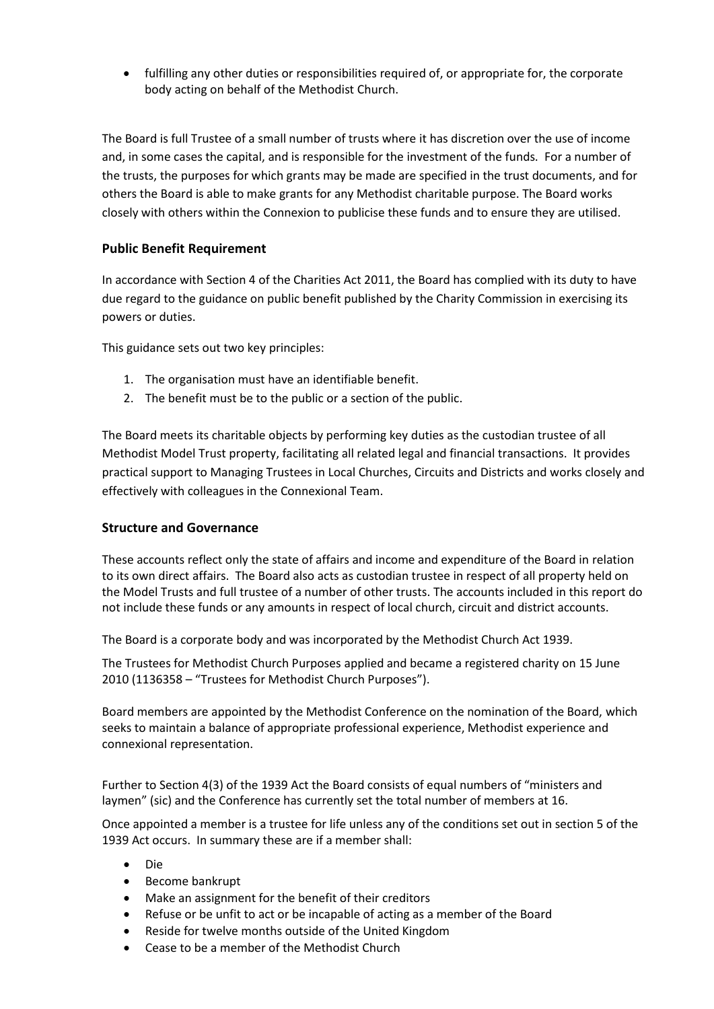fulfilling any other duties or responsibilities required of, or appropriate for, the corporate body acting on behalf of the Methodist Church.

The Board is full Trustee of a small number of trusts where it has discretion over the use of income and, in some cases the capital, and is responsible for the investment of the funds. For a number of the trusts, the purposes for which grants may be made are specified in the trust documents, and for others the Board is able to make grants for any Methodist charitable purpose. The Board works closely with others within the Connexion to publicise these funds and to ensure they are utilised.

# **Public Benefit Requirement**

In accordance with Section 4 of the Charities Act 2011, the Board has complied with its duty to have due regard to the guidance on public benefit published by the Charity Commission in exercising its powers or duties.

This guidance sets out two key principles:

- 1. The organisation must have an identifiable benefit.
- 2. The benefit must be to the public or a section of the public.

The Board meets its charitable objects by performing key duties as the custodian trustee of all Methodist Model Trust property, facilitating all related legal and financial transactions. It provides practical support to Managing Trustees in Local Churches, Circuits and Districts and works closely and effectively with colleagues in the Connexional Team.

# **Structure and Governance**

These accounts reflect only the state of affairs and income and expenditure of the Board in relation to its own direct affairs. The Board also acts as custodian trustee in respect of all property held on the Model Trusts and full trustee of a number of other trusts. The accounts included in this report do not include these funds or any amounts in respect of local church, circuit and district accounts.

The Board is a corporate body and was incorporated by the Methodist Church Act 1939.

The Trustees for Methodist Church Purposes applied and became a registered charity on 15 June 2010 (1136358 – "Trustees for Methodist Church Purposes").

Board members are appointed by the Methodist Conference on the nomination of the Board, which seeks to maintain a balance of appropriate professional experience, Methodist experience and connexional representation.

Further to Section 4(3) of the 1939 Act the Board consists of equal numbers of "ministers and laymen" (sic) and the Conference has currently set the total number of members at 16.

Once appointed a member is a trustee for life unless any of the conditions set out in section 5 of the 1939 Act occurs. In summary these are if a member shall:

- Die
- Become bankrupt
- Make an assignment for the benefit of their creditors
- Refuse or be unfit to act or be incapable of acting as a member of the Board
- Reside for twelve months outside of the United Kingdom
- Cease to be a member of the Methodist Church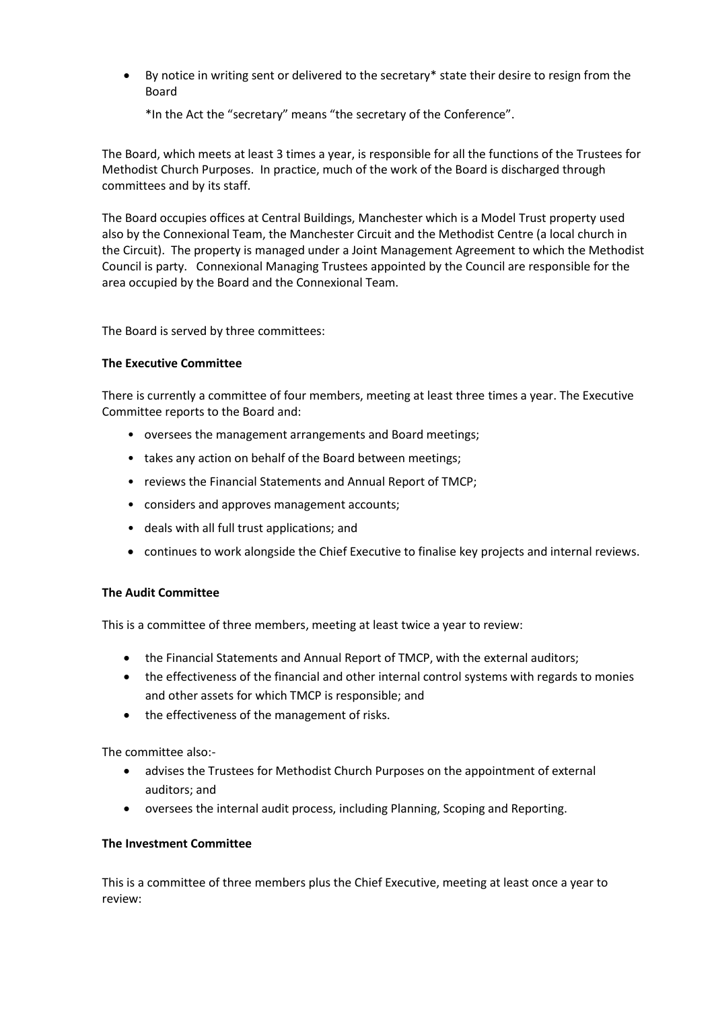By notice in writing sent or delivered to the secretary\* state their desire to resign from the Board

\*In the Act the "secretary" means "the secretary of the Conference".

The Board, which meets at least 3 times a year, is responsible for all the functions of the Trustees for Methodist Church Purposes. In practice, much of the work of the Board is discharged through committees and by its staff.

The Board occupies offices at Central Buildings, Manchester which is a Model Trust property used also by the Connexional Team, the Manchester Circuit and the Methodist Centre (a local church in the Circuit). The property is managed under a Joint Management Agreement to which the Methodist Council is party. Connexional Managing Trustees appointed by the Council are responsible for the area occupied by the Board and the Connexional Team.

The Board is served by three committees:

## **The Executive Committee**

There is currently a committee of four members, meeting at least three times a year. The Executive Committee reports to the Board and:

- oversees the management arrangements and Board meetings;
- takes any action on behalf of the Board between meetings;
- reviews the Financial Statements and Annual Report of TMCP;
- considers and approves management accounts;
- deals with all full trust applications; and
- continues to work alongside the Chief Executive to finalise key projects and internal reviews.

## **The Audit Committee**

This is a committee of three members, meeting at least twice a year to review:

- the Financial Statements and Annual Report of TMCP, with the external auditors;
- the effectiveness of the financial and other internal control systems with regards to monies and other assets for which TMCP is responsible; and
- the effectiveness of the management of risks.

The committee also:-

- advises the Trustees for Methodist Church Purposes on the appointment of external auditors; and
- oversees the internal audit process, including Planning, Scoping and Reporting.

## **The Investment Committee**

This is a committee of three members plus the Chief Executive, meeting at least once a year to review: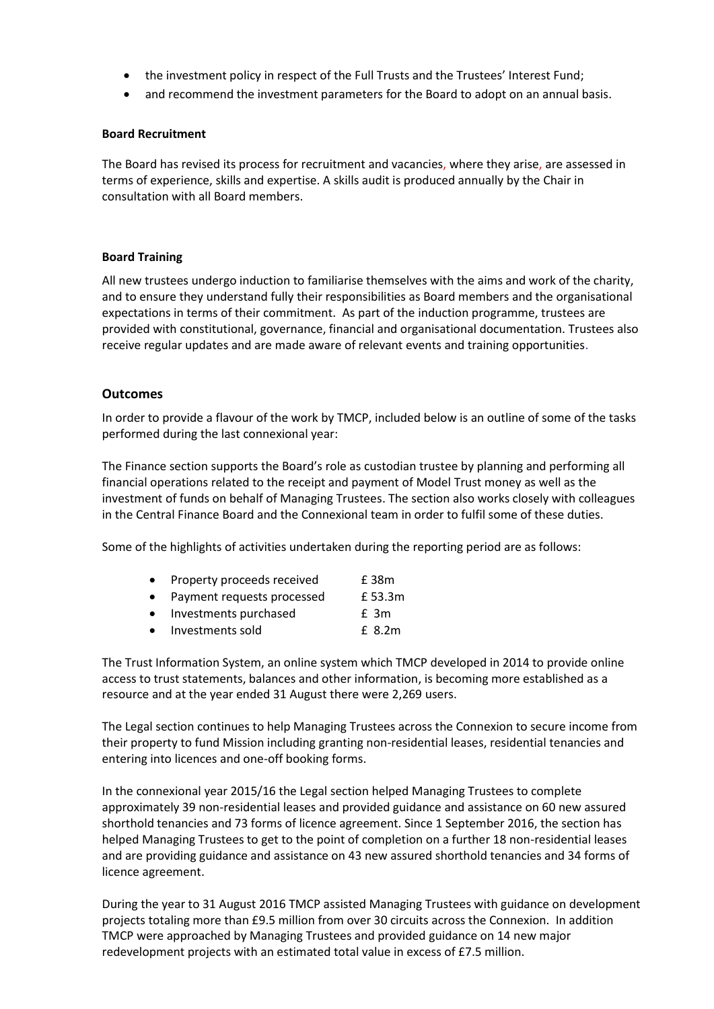- the investment policy in respect of the Full Trusts and the Trustees' Interest Fund;
- and recommend the investment parameters for the Board to adopt on an annual basis.

### **Board Recruitment**

The Board has revised its process for recruitment and vacancies, where they arise, are assessed in terms of experience, skills and expertise. A skills audit is produced annually by the Chair in consultation with all Board members.

## **Board Training**

All new trustees undergo induction to familiarise themselves with the aims and work of the charity, and to ensure they understand fully their responsibilities as Board members and the organisational expectations in terms of their commitment. As part of the induction programme, trustees are provided with constitutional, governance, financial and organisational documentation. Trustees also receive regular updates and are made aware of relevant events and training opportunities.

### **Outcomes**

In order to provide a flavour of the work by TMCP, included below is an outline of some of the tasks performed during the last connexional year:

The Finance section supports the Board's role as custodian trustee by planning and performing all financial operations related to the receipt and payment of Model Trust money as well as the investment of funds on behalf of Managing Trustees. The section also works closely with colleagues in the Central Finance Board and the Connexional team in order to fulfil some of these duties.

Some of the highlights of activities undertaken during the reporting period are as follows:

| Property proceeds received | £ 38m |
|----------------------------|-------|
|                            |       |

- Payment requests processed E 53.3m
- Investments purchased E 3m
- Investments sold £ 8.2m

The Trust Information System, an online system which TMCP developed in 2014 to provide online access to trust statements, balances and other information, is becoming more established as a resource and at the year ended 31 August there were 2,269 users.

The Legal section continues to help Managing Trustees across the Connexion to secure income from their property to fund Mission including granting non-residential leases, residential tenancies and entering into licences and one-off booking forms.

In the connexional year 2015/16 the Legal section helped Managing Trustees to complete approximately 39 non-residential leases and provided guidance and assistance on 60 new assured shorthold tenancies and 73 forms of licence agreement. Since 1 September 2016, the section has helped Managing Trustees to get to the point of completion on a further 18 non-residential leases and are providing guidance and assistance on 43 new assured shorthold tenancies and 34 forms of licence agreement.

During the year to 31 August 2016 TMCP assisted Managing Trustees with guidance on development projects totaling more than £9.5 million from over 30 circuits across the Connexion. In addition TMCP were approached by Managing Trustees and provided guidance on 14 new major redevelopment projects with an estimated total value in excess of £7.5 million.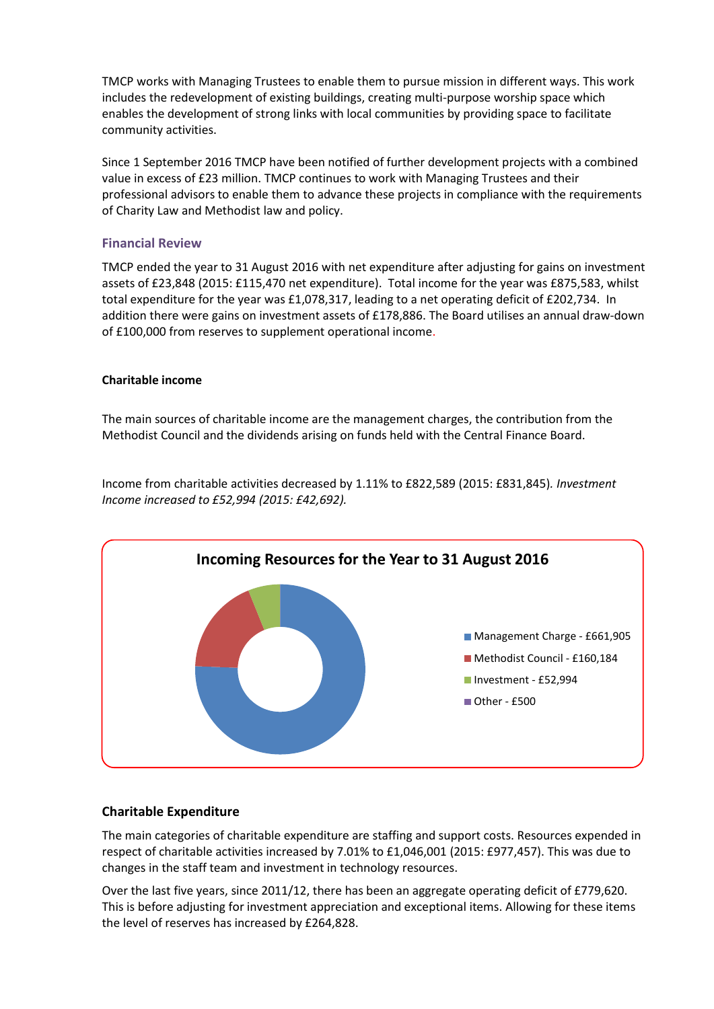TMCP works with Managing Trustees to enable them to pursue mission in different ways. This work includes the redevelopment of existing buildings, creating multi-purpose worship space which enables the development of strong links with local communities by providing space to facilitate community activities.

Since 1 September 2016 TMCP have been notified of further development projects with a combined value in excess of £23 million. TMCP continues to work with Managing Trustees and their professional advisors to enable them to advance these projects in compliance with the requirements of Charity Law and Methodist law and policy.

# **Financial Review**

TMCP ended the year to 31 August 2016 with net expenditure after adjusting for gains on investment assets of £23,848 (2015: £115,470 net expenditure). Total income for the year was £875,583, whilst total expenditure for the year was £1,078,317, leading to a net operating deficit of £202,734. In addition there were gains on investment assets of £178,886. The Board utilises an annual draw-down of £100,000 from reserves to supplement operational income.

# **Charitable income**

The main sources of charitable income are the management charges, the contribution from the Methodist Council and the dividends arising on funds held with the Central Finance Board.

Income from charitable activities decreased by 1.11% to £822,589 (2015: £831,845)*. Investment Income increased to £52,994 (2015: £42,692).*



# **Charitable Expenditure**

The main categories of charitable expenditure are staffing and support costs. Resources expended in respect of charitable activities increased by 7.01% to £1,046,001 (2015: £977,457). This was due to changes in the staff team and investment in technology resources.

Over the last five years, since 2011/12, there has been an aggregate operating deficit of £779,620. This is before adjusting for investment appreciation and exceptional items. Allowing for these items the level of reserves has increased by £264,828.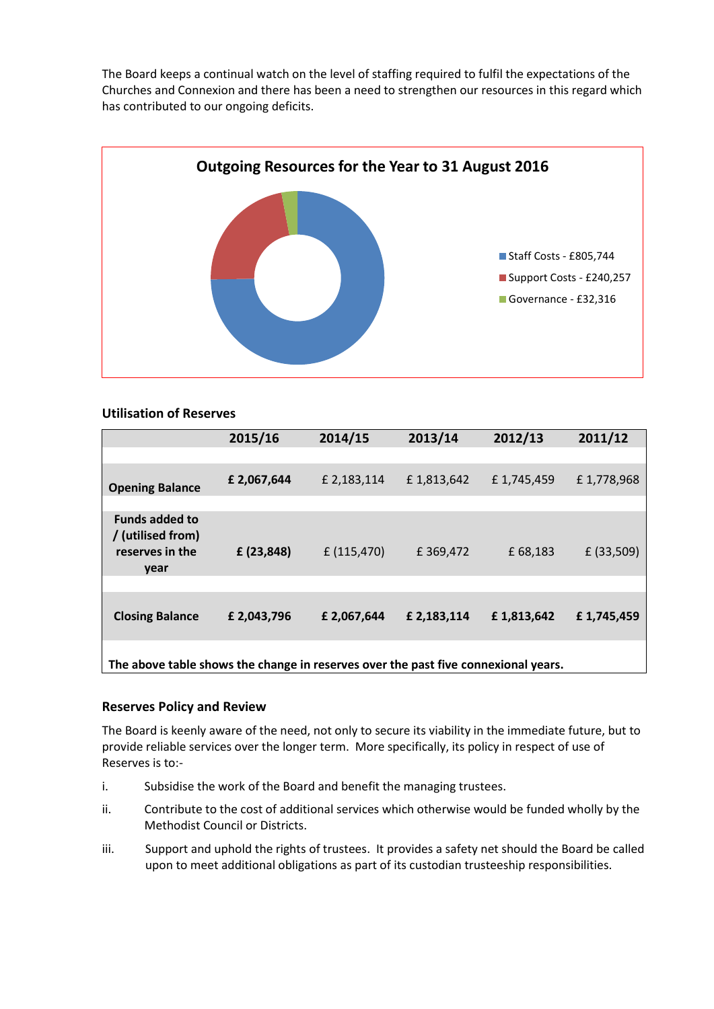The Board keeps a continual watch on the level of staffing required to fulfil the expectations of the Churches and Connexion and there has been a need to strengthen our resources in this regard which has contributed to our ongoing deficits.



# **Utilisation of Reserves**

|                                                                                    | 2015/16     | 2014/15     | 2013/14     | 2012/13    | 2011/12      |
|------------------------------------------------------------------------------------|-------------|-------------|-------------|------------|--------------|
|                                                                                    |             |             |             |            |              |
| <b>Opening Balance</b>                                                             | £2,067,644  | £ 2,183,114 | £1,813,642  | £1,745,459 | £1,778,968   |
|                                                                                    |             |             |             |            |              |
| <b>Funds added to</b><br>/ (utilised from)<br>reserves in the<br>year              | £ (23,848)  | £ (115,470) | £369,472    | £ 68,183   | $£$ (33,509) |
|                                                                                    |             |             |             |            |              |
| <b>Closing Balance</b>                                                             | £ 2,043,796 | £2,067,644  | £ 2,183,114 | £1,813,642 | £1,745,459   |
| The above table shows the change in reserves over the past five connexional years. |             |             |             |            |              |

# **Reserves Policy and Review**

The Board is keenly aware of the need, not only to secure its viability in the immediate future, but to provide reliable services over the longer term. More specifically, its policy in respect of use of Reserves is to:-

- i. Subsidise the work of the Board and benefit the managing trustees.
- ii. Contribute to the cost of additional services which otherwise would be funded wholly by the Methodist Council or Districts.
- iii. Support and uphold the rights of trustees. It provides a safety net should the Board be called upon to meet additional obligations as part of its custodian trusteeship responsibilities.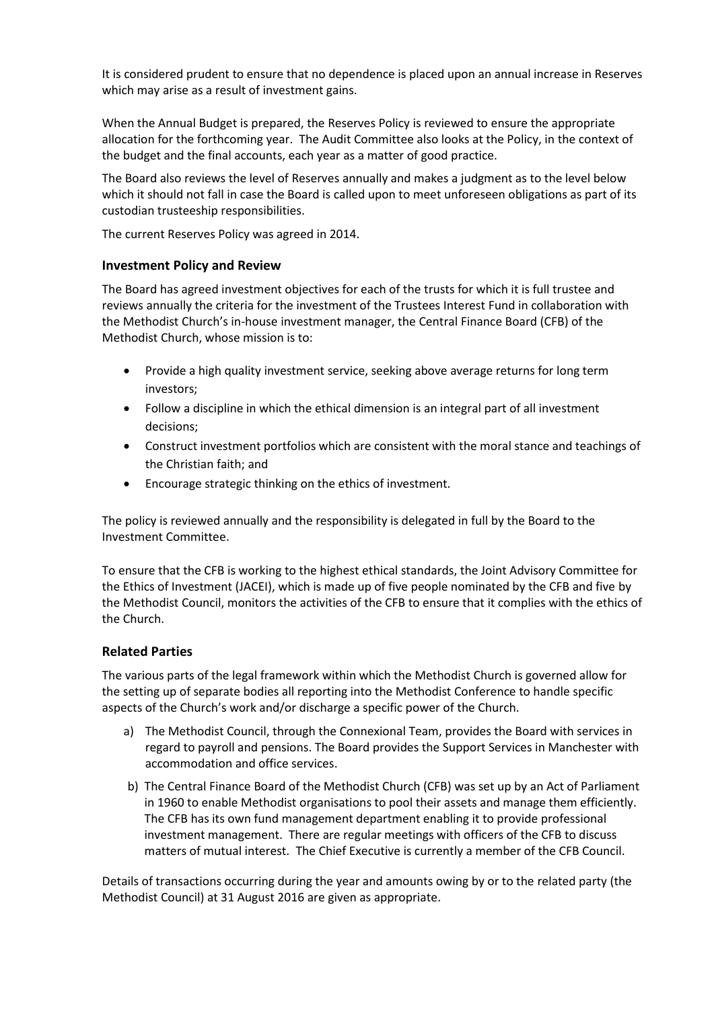It is considered prudent to ensure that no dependence is placed upon an annual increase in Reserves which may arise as a result of investment gains.

When the Annual Budget is prepared, the Reserves Policy is reviewed to ensure the appropriate allocation for the forthcoming year. The Audit Committee also looks at the Policy, in the context of the budget and the final accounts, each year as a matter of good practice.

The Board also reviews the level of Reserves annually and makes a judgment as to the level below which it should not fall in case the Board is called upon to meet unforeseen obligations as part of its custodian trusteeship responsibilities.

The current Reserves Policy was agreed in 2014.

# **Investment Policy and Review**

The Board has agreed investment objectives for each of the trusts for which it is full trustee and reviews annually the criteria for the investment of the Trustees Interest Fund in collaboration with the Methodist Church's in-house investment manager, the Central Finance Board (CFB) of the Methodist Church, whose mission is to:

- Provide a high quality investment service, seeking above average returns for long term investors;
- Follow a discipline in which the ethical dimension is an integral part of all investment decisions;
- Construct investment portfolios which are consistent with the moral stance and teachings of the Christian faith; and
- Encourage strategic thinking on the ethics of investment.

The policy is reviewed annually and the responsibility is delegated in full by the Board to the Investment Committee.

To ensure that the CFB is working to the highest ethical standards, the Joint Advisory Committee for the Ethics of Investment (JACEI), which is made up of five people nominated by the CFB and five by the Methodist Council, monitors the activities of the CFB to ensure that it complies with the ethics of the Church.

## **Related Parties**

The various parts of the legal framework within which the Methodist Church is governed allow for the setting up of separate bodies all reporting into the Methodist Conference to handle specific aspects of the Church's work and/or discharge a specific power of the Church.

- a) The Methodist Council, through the Connexional Team, provides the Board with services in regard to payroll and pensions. The Board provides the Support Services in Manchester with accommodation and office services.
- b) The Central Finance Board of the Methodist Church (CFB) was set up by an Act of Parliament in 1960 to enable Methodist organisations to pool their assets and manage them efficiently. The CFB has its own fund management department enabling it to provide professional investment management. There are regular meetings with officers of the CFB to discuss matters of mutual interest. The Chief Executive is currently a member of the CFB Council.

Details of transactions occurring during the year and amounts owing by or to the related party (the Methodist Council) at 31 August 2016 are given as appropriate.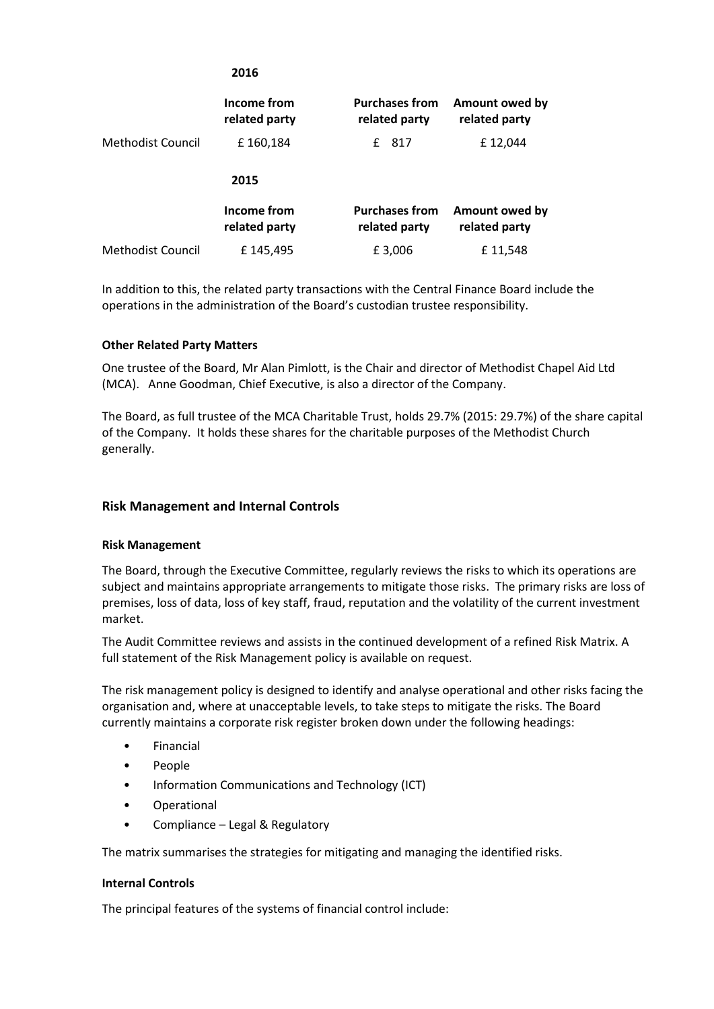|                   | Income from<br>related party | <b>Purchases from</b><br>related party | Amount owed by<br>related party |
|-------------------|------------------------------|----------------------------------------|---------------------------------|
| Methodist Council | £160,184                     | 817<br>f                               | £12,044                         |
|                   | 2015                         |                                        |                                 |
|                   | Income from<br>related party | <b>Purchases from</b><br>related party | Amount owed by<br>related party |
| Methodist Council | £145,495                     | £3,006                                 | £11,548                         |

**2016**

In addition to this, the related party transactions with the Central Finance Board include the operations in the administration of the Board's custodian trustee responsibility.

## **Other Related Party Matters**

One trustee of the Board, Mr Alan Pimlott, is the Chair and director of Methodist Chapel Aid Ltd (MCA). Anne Goodman, Chief Executive, is also a director of the Company.

The Board, as full trustee of the MCA Charitable Trust, holds 29.7% (2015: 29.7%) of the share capital of the Company. It holds these shares for the charitable purposes of the Methodist Church generally.

# **Risk Management and Internal Controls**

## **Risk Management**

The Board, through the Executive Committee, regularly reviews the risks to which its operations are subject and maintains appropriate arrangements to mitigate those risks. The primary risks are loss of premises, loss of data, loss of key staff, fraud, reputation and the volatility of the current investment market.

The Audit Committee reviews and assists in the continued development of a refined Risk Matrix. A full statement of the Risk Management policy is available on request.

The risk management policy is designed to identify and analyse operational and other risks facing the organisation and, where at unacceptable levels, to take steps to mitigate the risks. The Board currently maintains a corporate risk register broken down under the following headings:

- **Financial**
- People
- Information Communications and Technology (ICT)
- Operational
- Compliance Legal & Regulatory

The matrix summarises the strategies for mitigating and managing the identified risks.

## **Internal Controls**

The principal features of the systems of financial control include: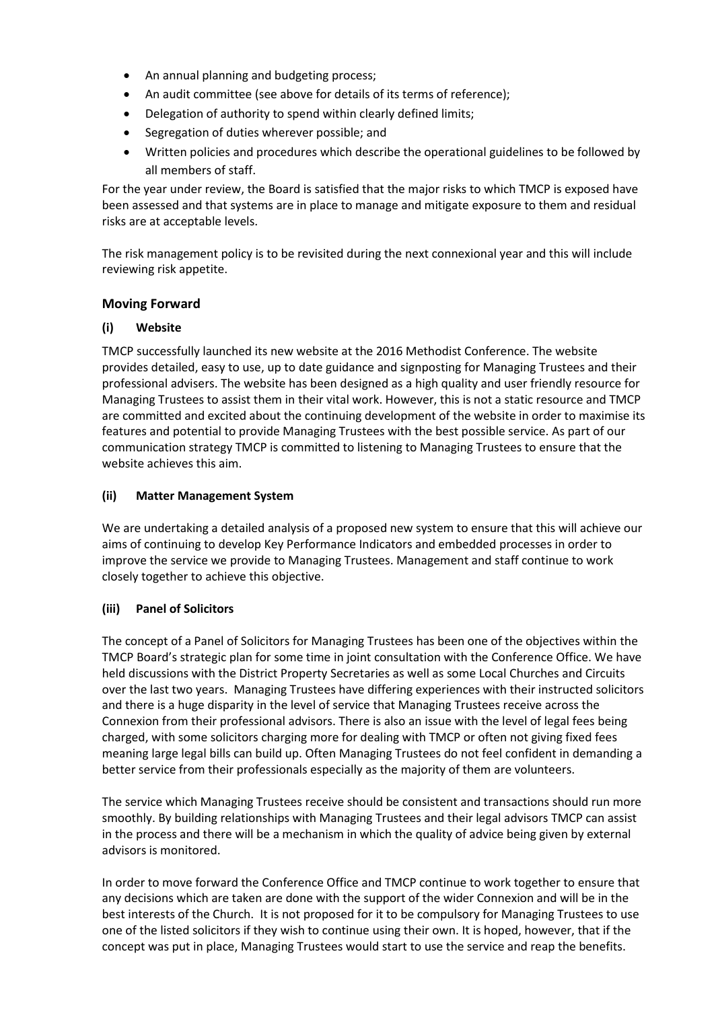- An annual planning and budgeting process;
- An audit committee (see above for details of its terms of reference);
- Delegation of authority to spend within clearly defined limits;
- Segregation of duties wherever possible; and
- Written policies and procedures which describe the operational guidelines to be followed by all members of staff.

For the year under review, the Board is satisfied that the major risks to which TMCP is exposed have been assessed and that systems are in place to manage and mitigate exposure to them and residual risks are at acceptable levels.

The risk management policy is to be revisited during the next connexional year and this will include reviewing risk appetite.

# **Moving Forward**

## **(i) Website**

TMCP successfully launched its new website at the 2016 Methodist Conference. The website provides detailed, easy to use, up to date guidance and signposting for Managing Trustees and their professional advisers. The website has been designed as a high quality and user friendly resource for Managing Trustees to assist them in their vital work. However, this is not a static resource and TMCP are committed and excited about the continuing development of the website in order to maximise its features and potential to provide Managing Trustees with the best possible service. As part of our communication strategy TMCP is committed to listening to Managing Trustees to ensure that the website achieves this aim.

# **(ii) Matter Management System**

We are undertaking a detailed analysis of a proposed new system to ensure that this will achieve our aims of continuing to develop Key Performance Indicators and embedded processes in order to improve the service we provide to Managing Trustees. Management and staff continue to work closely together to achieve this objective.

## **(iii) Panel of Solicitors**

The concept of a Panel of Solicitors for Managing Trustees has been one of the objectives within the TMCP Board's strategic plan for some time in joint consultation with the Conference Office. We have held discussions with the District Property Secretaries as well as some Local Churches and Circuits over the last two years. Managing Trustees have differing experiences with their instructed solicitors and there is a huge disparity in the level of service that Managing Trustees receive across the Connexion from their professional advisors. There is also an issue with the level of legal fees being charged, with some solicitors charging more for dealing with TMCP or often not giving fixed fees meaning large legal bills can build up. Often Managing Trustees do not feel confident in demanding a better service from their professionals especially as the majority of them are volunteers.

The service which Managing Trustees receive should be consistent and transactions should run more smoothly. By building relationships with Managing Trustees and their legal advisors TMCP can assist in the process and there will be a mechanism in which the quality of advice being given by external advisors is monitored.

In order to move forward the Conference Office and TMCP continue to work together to ensure that any decisions which are taken are done with the support of the wider Connexion and will be in the best interests of the Church. It is not proposed for it to be compulsory for Managing Trustees to use one of the listed solicitors if they wish to continue using their own. It is hoped, however, that if the concept was put in place, Managing Trustees would start to use the service and reap the benefits.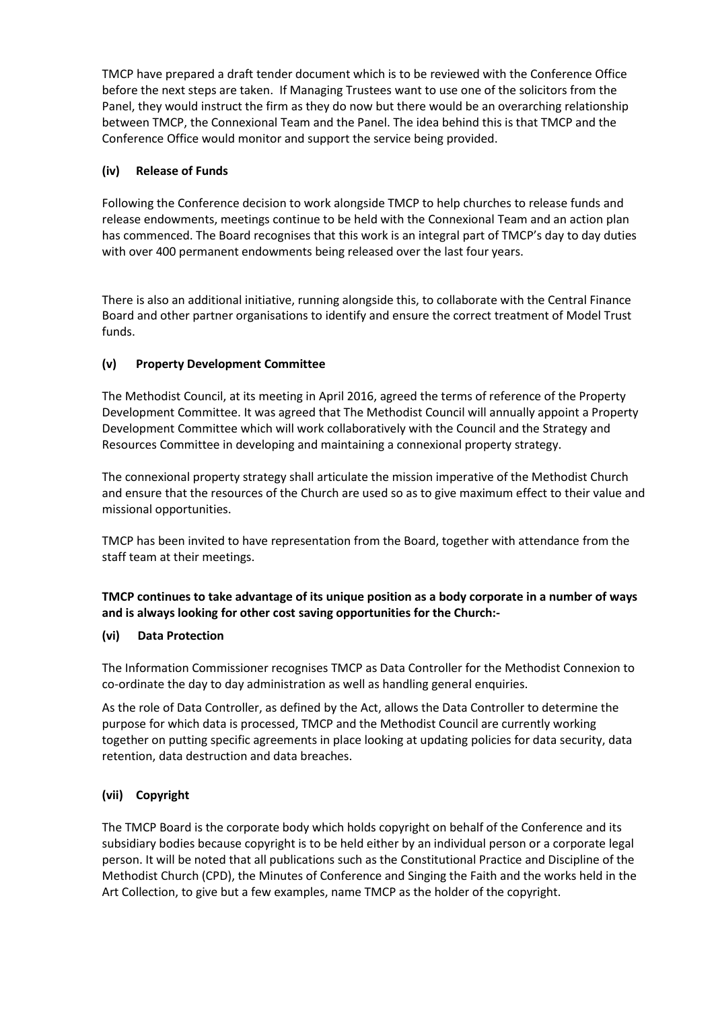TMCP have prepared a draft tender document which is to be reviewed with the Conference Office before the next steps are taken. If Managing Trustees want to use one of the solicitors from the Panel, they would instruct the firm as they do now but there would be an overarching relationship between TMCP, the Connexional Team and the Panel. The idea behind this is that TMCP and the Conference Office would monitor and support the service being provided.

# **(iv) Release of Funds**

Following the Conference decision to work alongside TMCP to help churches to release funds and release endowments, meetings continue to be held with the Connexional Team and an action plan has commenced. The Board recognises that this work is an integral part of TMCP's day to day duties with over 400 permanent endowments being released over the last four years.

There is also an additional initiative, running alongside this, to collaborate with the Central Finance Board and other partner organisations to identify and ensure the correct treatment of Model Trust funds.

# **(v) Property Development Committee**

The Methodist Council, at its meeting in April 2016, agreed the terms of reference of the Property Development Committee. It was agreed that The Methodist Council will annually appoint a Property Development Committee which will work collaboratively with the Council and the Strategy and Resources Committee in developing and maintaining a connexional property strategy.

The connexional property strategy shall articulate the mission imperative of the Methodist Church and ensure that the resources of the Church are used so as to give maximum effect to their value and missional opportunities.

TMCP has been invited to have representation from the Board, together with attendance from the staff team at their meetings.

# **TMCP continues to take advantage of its unique position as a body corporate in a number of ways and is always looking for other cost saving opportunities for the Church:-**

# **(vi) Data Protection**

The Information Commissioner recognises TMCP as Data Controller for the Methodist Connexion to co-ordinate the day to day administration as well as handling general enquiries.

As the role of Data Controller, as defined by the Act, allows the Data Controller to determine the purpose for which data is processed, TMCP and the Methodist Council are currently working together on putting specific agreements in place looking at updating policies for data security, data retention, data destruction and data breaches.

# **(vii) Copyright**

The TMCP Board is the corporate body which holds copyright on behalf of the Conference and its subsidiary bodies because copyright is to be held either by an individual person or a corporate legal person. It will be noted that all publications such as the Constitutional Practice and Discipline of the Methodist Church (CPD), the Minutes of Conference and Singing the Faith and the works held in the Art Collection, to give but a few examples, name TMCP as the holder of the copyright.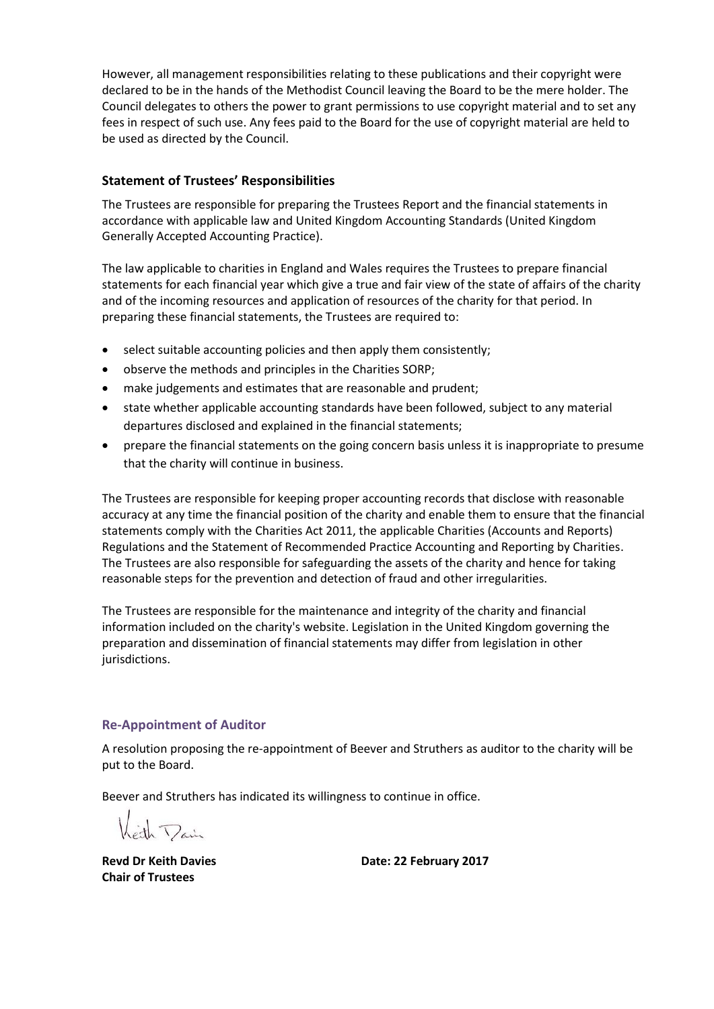However, all management responsibilities relating to these publications and their copyright were declared to be in the hands of the Methodist Council leaving the Board to be the mere holder. The Council delegates to others the power to grant permissions to use copyright material and to set any fees in respect of such use. Any fees paid to the Board for the use of copyright material are held to be used as directed by the Council.

# **Statement of Trustees' Responsibilities**

The Trustees are responsible for preparing the Trustees Report and the financial statements in accordance with applicable law and United Kingdom Accounting Standards (United Kingdom Generally Accepted Accounting Practice).

The law applicable to charities in England and Wales requires the Trustees to prepare financial statements for each financial year which give a true and fair view of the state of affairs of the charity and of the incoming resources and application of resources of the charity for that period. In preparing these financial statements, the Trustees are required to:

- select suitable accounting policies and then apply them consistently;
- observe the methods and principles in the Charities SORP;
- make judgements and estimates that are reasonable and prudent;
- state whether applicable accounting standards have been followed, subject to any material departures disclosed and explained in the financial statements;
- prepare the financial statements on the going concern basis unless it is inappropriate to presume that the charity will continue in business.

The Trustees are responsible for keeping proper accounting records that disclose with reasonable accuracy at any time the financial position of the charity and enable them to ensure that the financial statements comply with the Charities Act 2011, the applicable Charities (Accounts and Reports) Regulations and the Statement of Recommended Practice Accounting and Reporting by Charities. The Trustees are also responsible for safeguarding the assets of the charity and hence for taking reasonable steps for the prevention and detection of fraud and other irregularities.

The Trustees are responsible for the maintenance and integrity of the charity and financial information included on the charity's website. Legislation in the United Kingdom governing the preparation and dissemination of financial statements may differ from legislation in other jurisdictions.

## **Re-Appointment of Auditor**

A resolution proposing the re-appointment of Beever and Struthers as auditor to the charity will be put to the Board.

Beever and Struthers has indicated its willingness to continue in office.

Leth Dain

**Chair of Trustees**

**Revd Dr Keith Davies Date: 22 February 2017**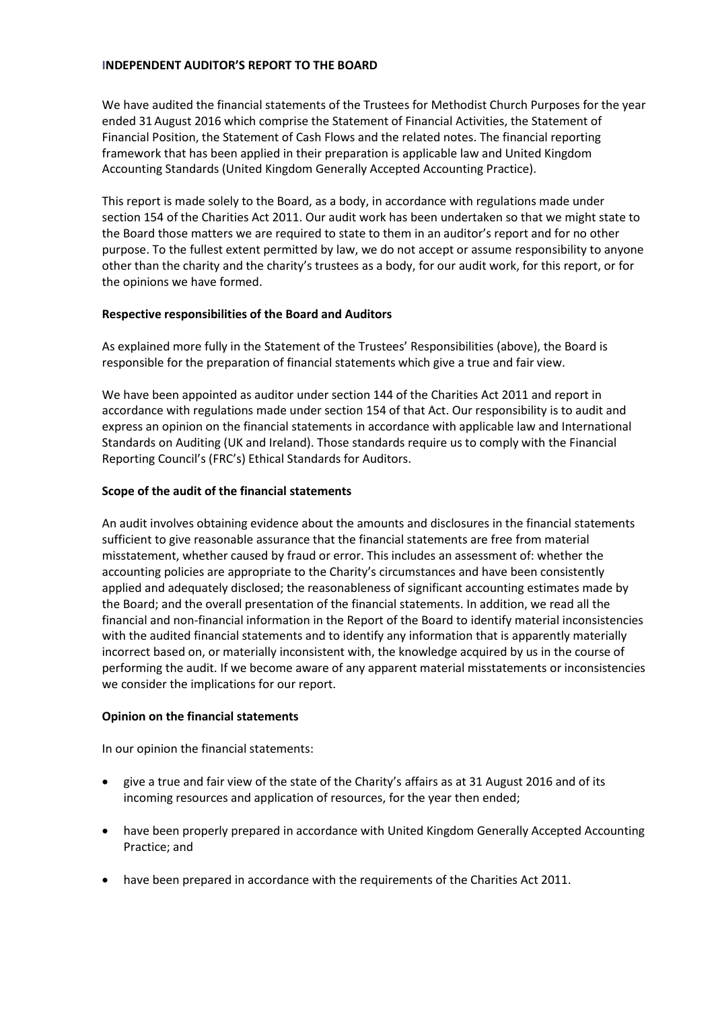## **INDEPENDENT AUDITOR'S REPORT TO THE BOARD**

We have audited the financial statements of the Trustees for Methodist Church Purposes for the year ended 31 August 2016 which comprise the Statement of Financial Activities, the Statement of Financial Position, the Statement of Cash Flows and the related notes. The financial reporting framework that has been applied in their preparation is applicable law and United Kingdom Accounting Standards (United Kingdom Generally Accepted Accounting Practice).

This report is made solely to the Board, as a body, in accordance with regulations made under section 154 of the Charities Act 2011. Our audit work has been undertaken so that we might state to the Board those matters we are required to state to them in an auditor's report and for no other purpose. To the fullest extent permitted by law, we do not accept or assume responsibility to anyone other than the charity and the charity's trustees as a body, for our audit work, for this report, or for the opinions we have formed.

# **Respective responsibilities of the Board and Auditors**

As explained more fully in the Statement of the Trustees' Responsibilities (above), the Board is responsible for the preparation of financial statements which give a true and fair view.

We have been appointed as auditor under section 144 of the Charities Act 2011 and report in accordance with regulations made under section 154 of that Act. Our responsibility is to audit and express an opinion on the financial statements in accordance with applicable law and International Standards on Auditing (UK and Ireland). Those standards require us to comply with the Financial Reporting Council's (FRC's) Ethical Standards for Auditors.

# **Scope of the audit of the financial statements**

An audit involves obtaining evidence about the amounts and disclosures in the financial statements sufficient to give reasonable assurance that the financial statements are free from material misstatement, whether caused by fraud or error. This includes an assessment of: whether the accounting policies are appropriate to the Charity's circumstances and have been consistently applied and adequately disclosed; the reasonableness of significant accounting estimates made by the Board; and the overall presentation of the financial statements. In addition, we read all the financial and non-financial information in the Report of the Board to identify material inconsistencies with the audited financial statements and to identify any information that is apparently materially incorrect based on, or materially inconsistent with, the knowledge acquired by us in the course of performing the audit. If we become aware of any apparent material misstatements or inconsistencies we consider the implications for our report.

## **Opinion on the financial statements**

In our opinion the financial statements:

- give a true and fair view of the state of the Charity's affairs as at 31 August 2016 and of its incoming resources and application of resources, for the year then ended;
- have been properly prepared in accordance with United Kingdom Generally Accepted Accounting Practice; and
- have been prepared in accordance with the requirements of the Charities Act 2011.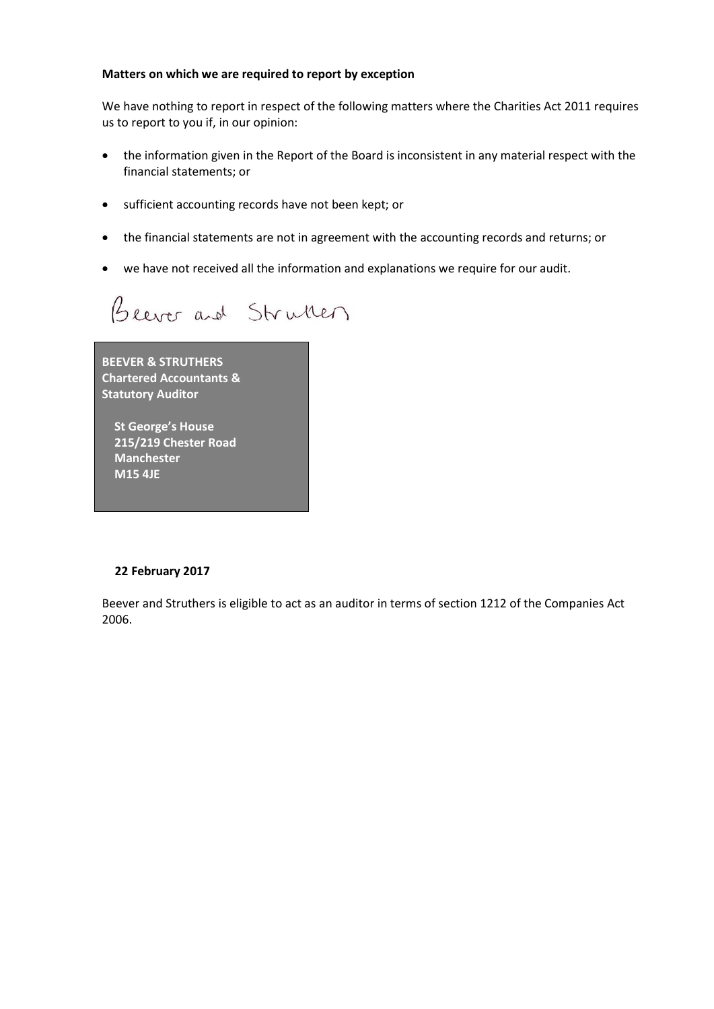## **Matters on which we are required to report by exception**

We have nothing to report in respect of the following matters where the Charities Act 2011 requires us to report to you if, in our opinion:

- the information given in the Report of the Board is inconsistent in any material respect with the financial statements; or
- sufficient accounting records have not been kept; or
- the financial statements are not in agreement with the accounting records and returns; or
- we have not received all the information and explanations we require for our audit.

Beever and Struken

**BEEVER & STRUTHERS Chartered Accountants & Statutory Auditor**

 **St George's House 215/219 Chester Road Manchester M15 4JE**

## **22 February 2017**

Beever and Struthers is eligible to act as an auditor in terms of section 1212 of the Companies Act 2006.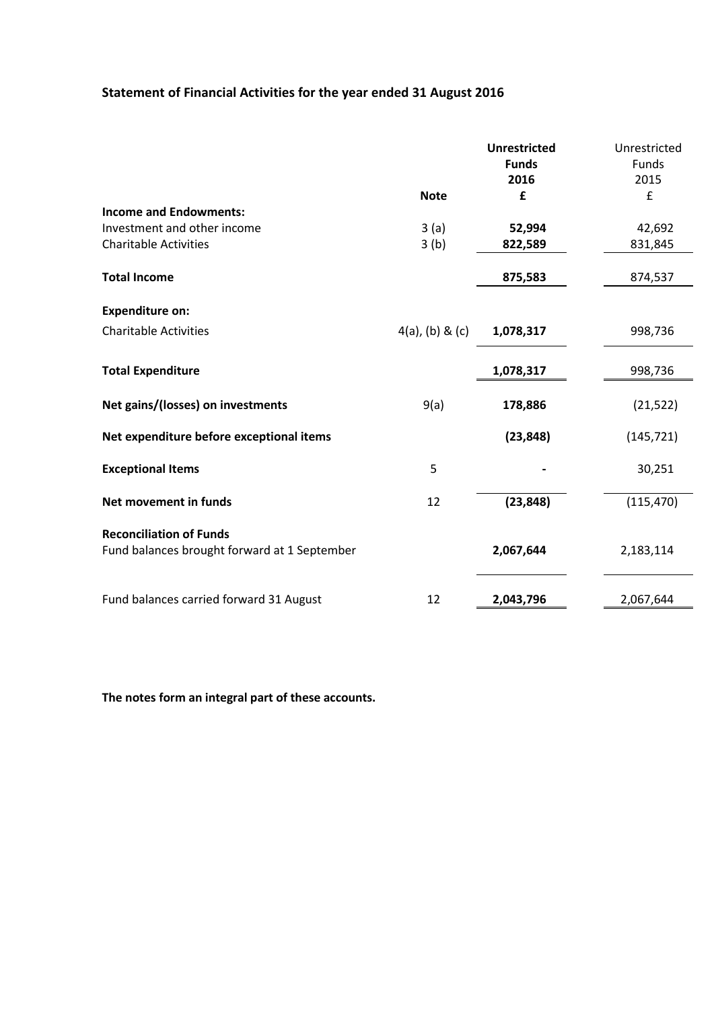# **Statement of Financial Activities for the year ended 31 August 2016**

|                                                                                |                    | <b>Unrestricted</b> | Unrestricted |
|--------------------------------------------------------------------------------|--------------------|---------------------|--------------|
|                                                                                |                    | <b>Funds</b>        | Funds        |
|                                                                                |                    | 2016                | 2015         |
|                                                                                | <b>Note</b>        | £                   | £            |
| <b>Income and Endowments:</b>                                                  |                    |                     |              |
| Investment and other income                                                    | 3(a)               | 52,994              | 42,692       |
| <b>Charitable Activities</b>                                                   | 3(b)               | 822,589             | 831,845      |
| <b>Total Income</b>                                                            |                    | 875,583             | 874,537      |
| <b>Expenditure on:</b>                                                         |                    |                     |              |
| <b>Charitable Activities</b>                                                   | $4(a)$ , (b) & (c) | 1,078,317           | 998,736      |
| <b>Total Expenditure</b>                                                       |                    | 1,078,317           | 998,736      |
| Net gains/(losses) on investments                                              | 9(a)               | 178,886             | (21, 522)    |
| Net expenditure before exceptional items                                       |                    | (23, 848)           | (145, 721)   |
| <b>Exceptional Items</b>                                                       | 5                  |                     | 30,251       |
| Net movement in funds                                                          | 12                 | (23, 848)           | (115, 470)   |
| <b>Reconciliation of Funds</b><br>Fund balances brought forward at 1 September |                    | 2,067,644           | 2,183,114    |
| Fund balances carried forward 31 August                                        | 12                 | 2,043,796           | 2,067,644    |

**The notes form an integral part of these accounts.**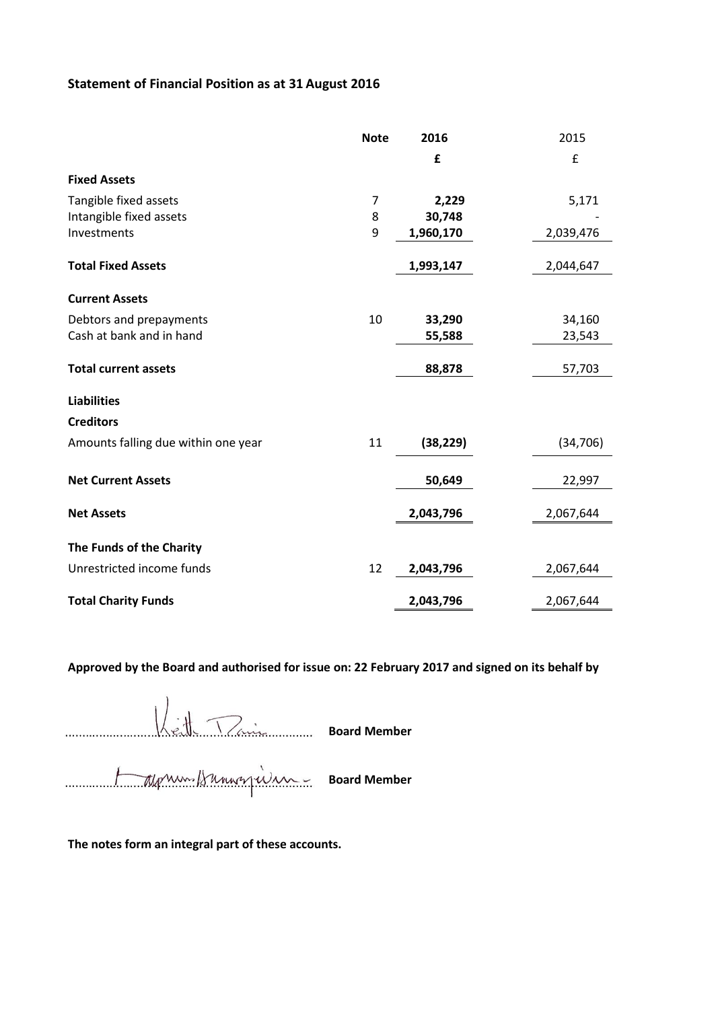# **Statement of Financial Position as at 31 August 2016**

|                                     | <b>Note</b> | 2016      | 2015      |
|-------------------------------------|-------------|-----------|-----------|
|                                     |             | £         | £         |
| <b>Fixed Assets</b>                 |             |           |           |
| Tangible fixed assets               | 7           | 2,229     | 5,171     |
| Intangible fixed assets             | 8           | 30,748    |           |
| Investments                         | 9           | 1,960,170 | 2,039,476 |
| <b>Total Fixed Assets</b>           |             | 1,993,147 | 2,044,647 |
| <b>Current Assets</b>               |             |           |           |
| Debtors and prepayments             | 10          | 33,290    | 34,160    |
| Cash at bank and in hand            |             | 55,588    | 23,543    |
| <b>Total current assets</b>         |             | 88,878    | 57,703    |
| <b>Liabilities</b>                  |             |           |           |
| <b>Creditors</b>                    |             |           |           |
| Amounts falling due within one year | 11          | (38, 229) | (34, 706) |
| <b>Net Current Assets</b>           |             | 50,649    | 22,997    |
| <b>Net Assets</b>                   |             | 2,043,796 | 2,067,644 |
|                                     |             |           |           |
| The Funds of the Charity            |             |           |           |
| Unrestricted income funds           | 12          | 2,043,796 | 2,067,644 |
| <b>Total Charity Funds</b>          |             | 2,043,796 | 2,067,644 |

**Approved by the Board and authorised for issue on: 22 February 2017 and signed on its behalf by**

........................................................................ **Board Member**

........................................................................ **Board Member**

**The notes form an integral part of these accounts.**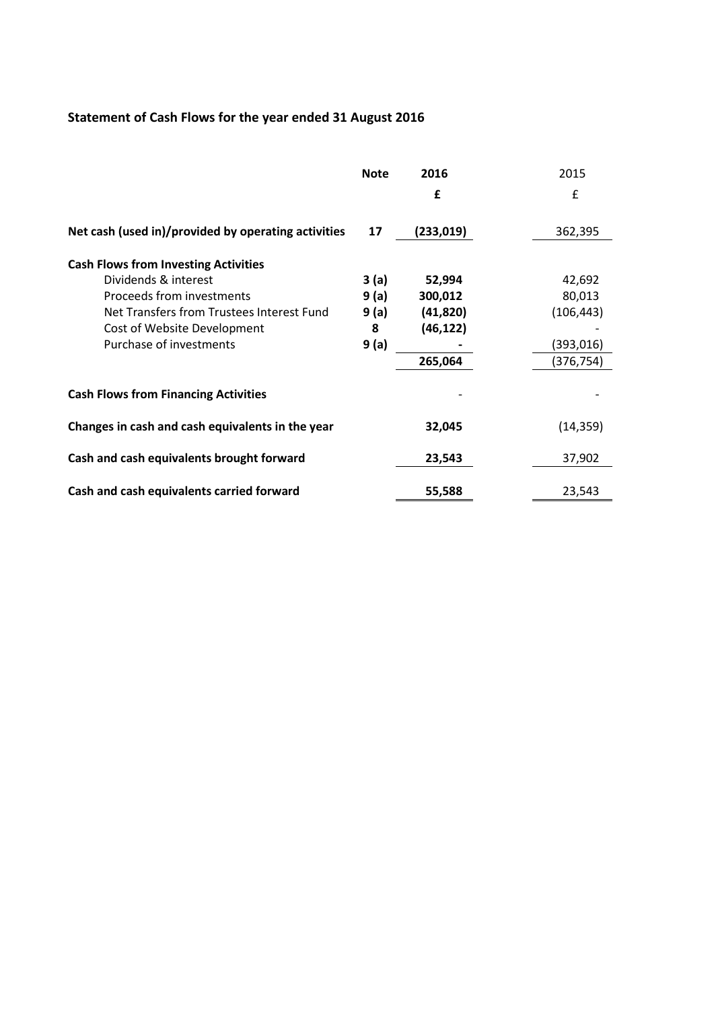# **Statement of Cash Flows for the year ended 31 August 2016**

|                                                     | <b>Note</b> | 2016      | 2015       |
|-----------------------------------------------------|-------------|-----------|------------|
|                                                     |             | £         | £          |
| Net cash (used in)/provided by operating activities | 17          | (233,019) | 362,395    |
| <b>Cash Flows from Investing Activities</b>         |             |           |            |
| Dividends & interest                                | 3(a)        | 52,994    | 42,692     |
| Proceeds from investments                           | 9(a)        | 300,012   | 80,013     |
| Net Transfers from Trustees Interest Fund           | 9(a)        | (41, 820) | (106, 443) |
| Cost of Website Development                         | 8           | (46, 122) |            |
| Purchase of investments                             | 9(a)        |           | (393,016)  |
|                                                     |             | 265,064   | (376,754)  |
| <b>Cash Flows from Financing Activities</b>         |             |           |            |
| Changes in cash and cash equivalents in the year    |             | 32,045    | (14, 359)  |
| Cash and cash equivalents brought forward           |             | 23,543    | 37,902     |
| Cash and cash equivalents carried forward           |             | 55,588    | 23,543     |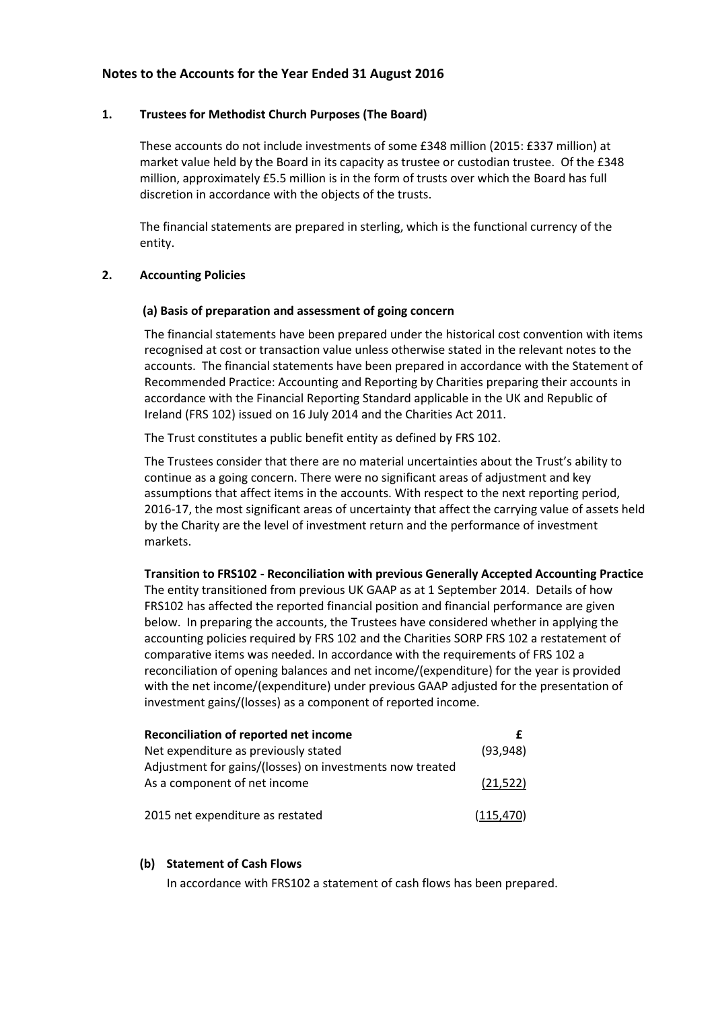# **Notes to the Accounts for the Year Ended 31 August 2016**

## **1. Trustees for Methodist Church Purposes (The Board)**

These accounts do not include investments of some £348 million (2015: £337 million) at market value held by the Board in its capacity as trustee or custodian trustee. Of the £348 million, approximately £5.5 million is in the form of trusts over which the Board has full discretion in accordance with the objects of the trusts.

The financial statements are prepared in sterling, which is the functional currency of the entity.

### **2. Accounting Policies**

### **(a) Basis of preparation and assessment of going concern**

The financial statements have been prepared under the historical cost convention with items recognised at cost or transaction value unless otherwise stated in the relevant notes to the accounts. The financial statements have been prepared in accordance with the Statement of Recommended Practice: Accounting and Reporting by Charities preparing their accounts in accordance with the Financial Reporting Standard applicable in the UK and Republic of Ireland (FRS 102) issued on 16 July 2014 and the Charities Act 2011.

The Trust constitutes a public benefit entity as defined by FRS 102.

The Trustees consider that there are no material uncertainties about the Trust's ability to continue as a going concern. There were no significant areas of adjustment and key assumptions that affect items in the accounts. With respect to the next reporting period, 2016-17, the most significant areas of uncertainty that affect the carrying value of assets held by the Charity are the level of investment return and the performance of investment markets.

**Transition to FRS102 - Reconciliation with previous Generally Accepted Accounting Practice** The entity transitioned from previous UK GAAP as at 1 September 2014. Details of how FRS102 has affected the reported financial position and financial performance are given below. In preparing the accounts, the Trustees have considered whether in applying the accounting policies required by FRS 102 and the Charities SORP FRS 102 a restatement of comparative items was needed. In accordance with the requirements of FRS 102 a reconciliation of opening balances and net income/(expenditure) for the year is provided with the net income/(expenditure) under previous GAAP adjusted for the presentation of investment gains/(losses) as a component of reported income.

| Reconciliation of reported net income                    |            |
|----------------------------------------------------------|------------|
| Net expenditure as previously stated                     | (93, 948)  |
| Adjustment for gains/(losses) on investments now treated |            |
| As a component of net income                             | (21.522)   |
|                                                          |            |
| 2015 net expenditure as restated                         | (115, 470) |

## **(b) Statement of Cash Flows**

In accordance with FRS102 a statement of cash flows has been prepared.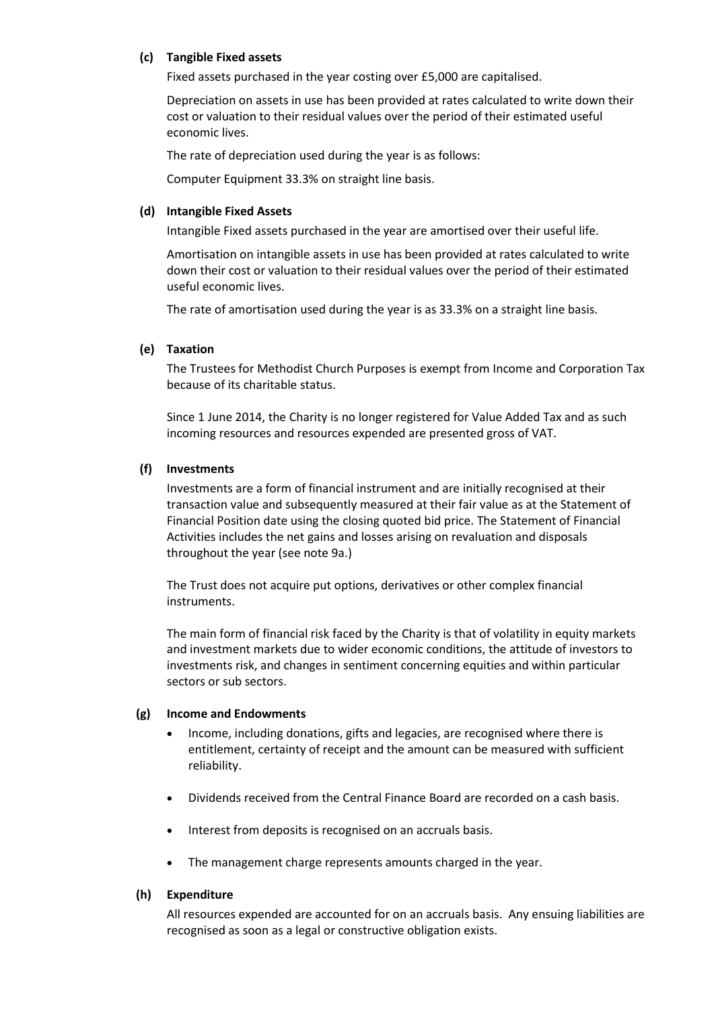# **(c) Tangible Fixed assets**

Fixed assets purchased in the year costing over £5,000 are capitalised.

Depreciation on assets in use has been provided at rates calculated to write down their cost or valuation to their residual values over the period of their estimated useful economic lives.

The rate of depreciation used during the year is as follows:

Computer Equipment 33.3% on straight line basis.

# **(d) Intangible Fixed Assets**

Intangible Fixed assets purchased in the year are amortised over their useful life.

Amortisation on intangible assets in use has been provided at rates calculated to write down their cost or valuation to their residual values over the period of their estimated useful economic lives.

The rate of amortisation used during the year is as 33.3% on a straight line basis.

# **(e) Taxation**

The Trustees for Methodist Church Purposes is exempt from Income and Corporation Tax because of its charitable status.

Since 1 June 2014, the Charity is no longer registered for Value Added Tax and as such incoming resources and resources expended are presented gross of VAT.

# **(f) Investments**

Investments are a form of financial instrument and are initially recognised at their transaction value and subsequently measured at their fair value as at the Statement of Financial Position date using the closing quoted bid price. The Statement of Financial Activities includes the net gains and losses arising on revaluation and disposals throughout the year (see note 9a.)

The Trust does not acquire put options, derivatives or other complex financial instruments.

The main form of financial risk faced by the Charity is that of volatility in equity markets and investment markets due to wider economic conditions, the attitude of investors to investments risk, and changes in sentiment concerning equities and within particular sectors or sub sectors.

## **(g) Income and Endowments**

- Income, including donations, gifts and legacies, are recognised where there is entitlement, certainty of receipt and the amount can be measured with sufficient reliability.
- Dividends received from the Central Finance Board are recorded on a cash basis.
- Interest from deposits is recognised on an accruals basis.
- The management charge represents amounts charged in the year.

## **(h) Expenditure**

All resources expended are accounted for on an accruals basis. Any ensuing liabilities are recognised as soon as a legal or constructive obligation exists.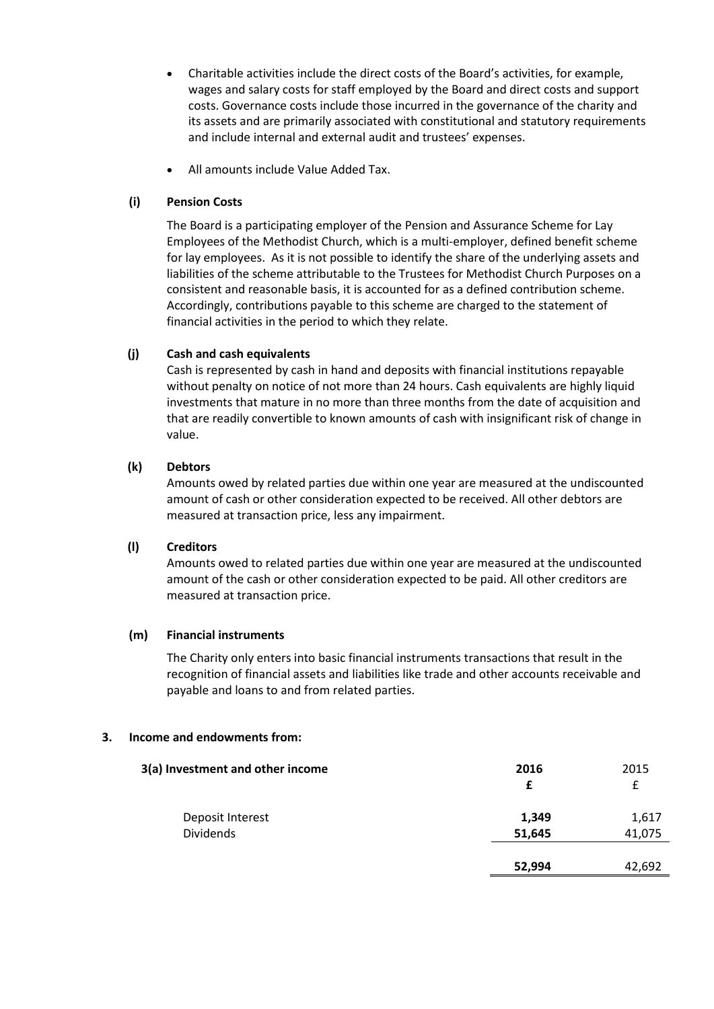- Charitable activities include the direct costs of the Board's activities, for example, wages and salary costs for staff employed by the Board and direct costs and support costs. Governance costs include those incurred in the governance of the charity and its assets and are primarily associated with constitutional and statutory requirements and include internal and external audit and trustees' expenses.
- All amounts include Value Added Tax.

# **(i) Pension Costs**

The Board is a participating employer of the Pension and Assurance Scheme for Lay Employees of the Methodist Church, which is a multi-employer, defined benefit scheme for lay employees. As it is not possible to identify the share of the underlying assets and liabilities of the scheme attributable to the Trustees for Methodist Church Purposes on a consistent and reasonable basis, it is accounted for as a defined contribution scheme. Accordingly, contributions payable to this scheme are charged to the statement of financial activities in the period to which they relate.

# **(j) Cash and cash equivalents**

Cash is represented by cash in hand and deposits with financial institutions repayable without penalty on notice of not more than 24 hours. Cash equivalents are highly liquid investments that mature in no more than three months from the date of acquisition and that are readily convertible to known amounts of cash with insignificant risk of change in value.

# **(k) Debtors**

Amounts owed by related parties due within one year are measured at the undiscounted amount of cash or other consideration expected to be received. All other debtors are measured at transaction price, less any impairment.

## **(l) Creditors**

Amounts owed to related parties due within one year are measured at the undiscounted amount of the cash or other consideration expected to be paid. All other creditors are measured at transaction price.

## **(m) Financial instruments**

The Charity only enters into basic financial instruments transactions that result in the recognition of financial assets and liabilities like trade and other accounts receivable and payable and loans to and from related parties.

## **3. Income and endowments from:**

| 3(a) Investment and other income | 2016<br>f | 2015<br>£ |
|----------------------------------|-----------|-----------|
| Deposit Interest                 | 1,349     | 1,617     |
| <b>Dividends</b>                 | 51,645    | 41,075    |
|                                  |           |           |
|                                  | 52,994    | 42,692    |
|                                  |           |           |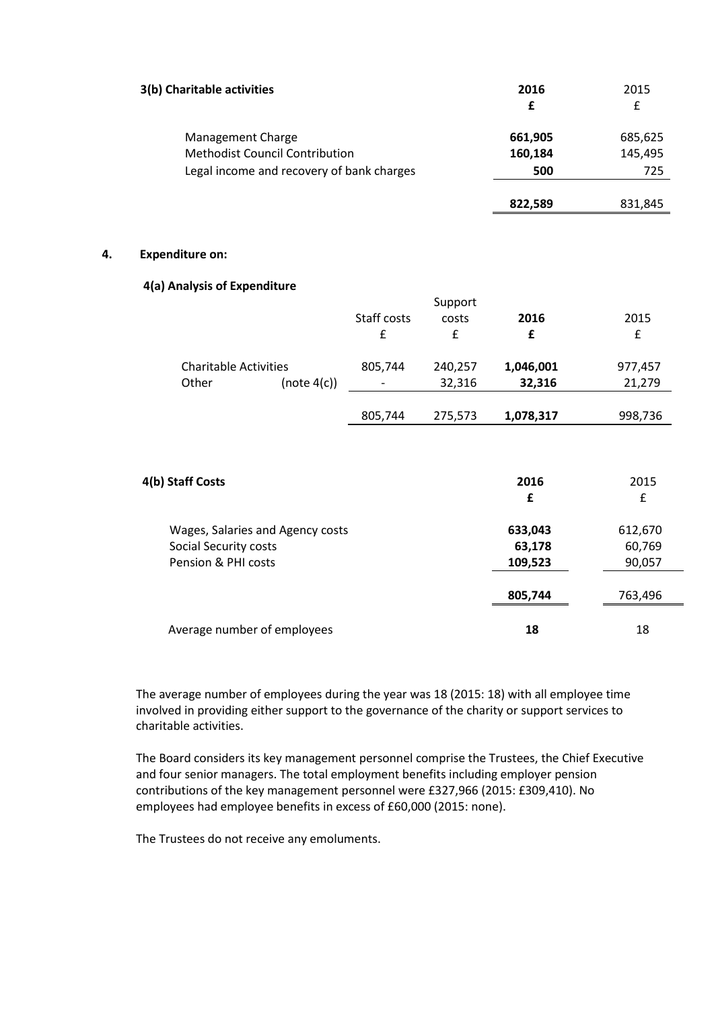| 3(b) Charitable activities                                                                              | 2016<br>£                 | 2015<br>£                 |
|---------------------------------------------------------------------------------------------------------|---------------------------|---------------------------|
| Management Charge<br><b>Methodist Council Contribution</b><br>Legal income and recovery of bank charges | 661,905<br>160,184<br>500 | 685,625<br>145,495<br>725 |
|                                                                                                         | 822,589                   | 831,845                   |

### **4. Expenditure on:**

### **4(a) Analysis of Expenditure**

|             | Support                                                                        |           |           |
|-------------|--------------------------------------------------------------------------------|-----------|-----------|
| Staff costs | costs                                                                          | 2016      | 2015      |
| £           | £                                                                              | £         | £         |
| 805,744     | 240,257                                                                        | 1,046,001 | 977,457   |
|             | 32,316                                                                         | 32,316    | 21,279    |
| 805,744     | 275,573                                                                        | 1,078,317 | 998,736   |
|             |                                                                                |           |           |
|             |                                                                                | £         | 2015<br>£ |
|             |                                                                                | 633,043   | 612,670   |
|             |                                                                                | 63,178    | 60,769    |
|             |                                                                                | 109,523   | 90,057    |
|             |                                                                                | 805,744   | 763,496   |
|             |                                                                                | 18        | 18        |
|             | (note 4(c))<br>Wages, Salaries and Agency costs<br>Average number of employees |           | 2016      |

The average number of employees during the year was 18 (2015: 18) with all employee time involved in providing either support to the governance of the charity or support services to charitable activities.

The Board considers its key management personnel comprise the Trustees, the Chief Executive and four senior managers. The total employment benefits including employer pension contributions of the key management personnel were £327,966 (2015: £309,410). No employees had employee benefits in excess of £60,000 (2015: none).

The Trustees do not receive any emoluments.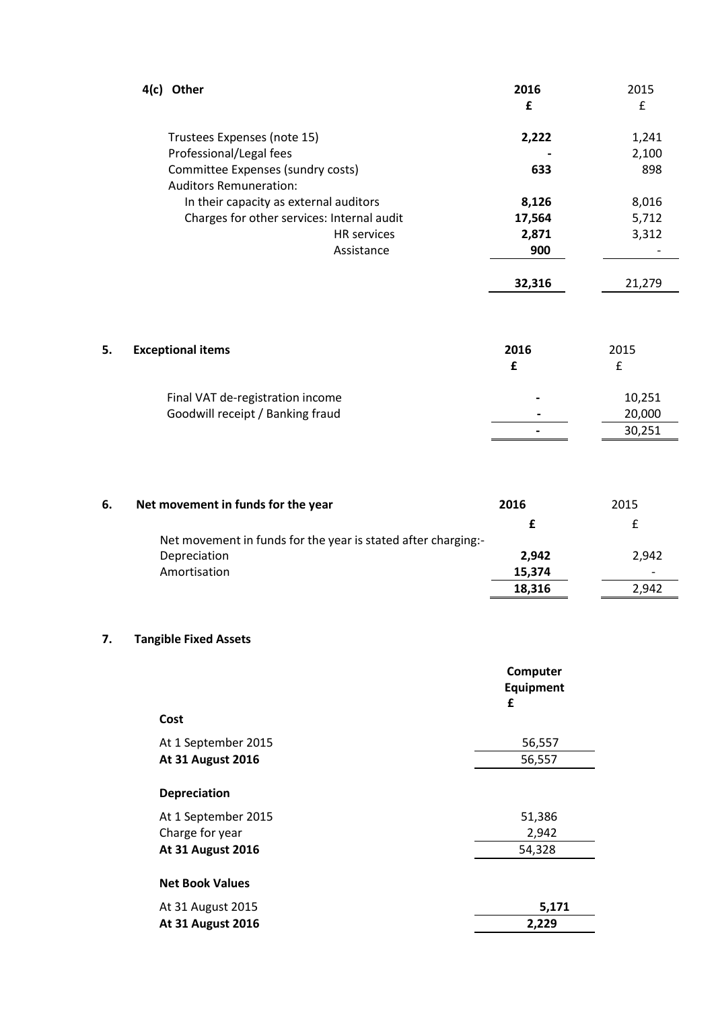|    | 4(c) Other                                                         | 2016<br>£ | 2015<br>£ |
|----|--------------------------------------------------------------------|-----------|-----------|
|    | Trustees Expenses (note 15)                                        | 2,222     | 1,241     |
|    | Professional/Legal fees                                            |           | 2,100     |
|    | Committee Expenses (sundry costs)<br><b>Auditors Remuneration:</b> | 633       | 898       |
|    | In their capacity as external auditors                             | 8,126     | 8,016     |
|    | Charges for other services: Internal audit                         | 17,564    | 5,712     |
|    | <b>HR</b> services                                                 | 2,871     | 3,312     |
|    | Assistance                                                         | 900       |           |
|    |                                                                    | 32,316    | 21,279    |
| 5. | <b>Exceptional items</b>                                           | 2016      | 2015      |
|    |                                                                    | £         | £         |
|    | Final VAT de-registration income                                   |           | 10,251    |
|    | Goodwill receipt / Banking fraud                                   |           | 20,000    |
|    |                                                                    |           | 30,251    |

| 6. | Net movement in funds for the year                            | 2016   | 2015  |
|----|---------------------------------------------------------------|--------|-------|
|    |                                                               |        |       |
|    | Net movement in funds for the year is stated after charging:- |        |       |
|    | Depreciation                                                  | 2.942  | 2,942 |
|    | Amortisation                                                  | 15,374 |       |
|    |                                                               | 18,316 | 2.942 |

# **7. Tangible Fixed Assets**

|                          | Computer<br>Equipment<br>£ |
|--------------------------|----------------------------|
| Cost                     |                            |
| At 1 September 2015      | 56,557                     |
| <b>At 31 August 2016</b> | 56,557                     |
| <b>Depreciation</b>      |                            |
| At 1 September 2015      | 51,386                     |
| Charge for year          | 2,942                      |
| <b>At 31 August 2016</b> | 54,328                     |
| <b>Net Book Values</b>   |                            |
| At 31 August 2015        | 5,171                      |
| <b>At 31 August 2016</b> | 2,229                      |
|                          |                            |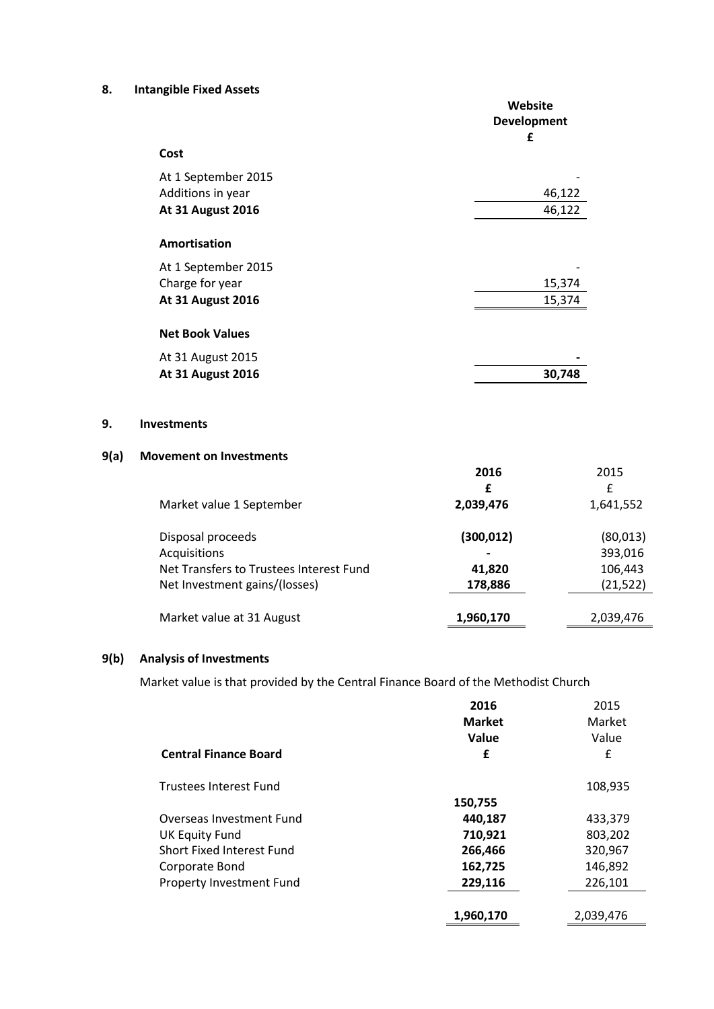# **8. Intangible Fixed Assets**

|                          | Website<br><b>Development</b><br>£ |
|--------------------------|------------------------------------|
| Cost                     |                                    |
| At 1 September 2015      |                                    |
| Additions in year        | 46,122                             |
| <b>At 31 August 2016</b> | 46,122                             |
| Amortisation             |                                    |
| At 1 September 2015      |                                    |
| Charge for year          | 15,374                             |
| <b>At 31 August 2016</b> | 15,374                             |
|                          |                                    |
| <b>Net Book Values</b>   |                                    |
| At 31 August 2015        |                                    |
| <b>At 31 August 2016</b> | 30,748                             |

### **9. Investments**

# **9(a) Movement on Investments**

|                                         | 2016                     | 2015      |
|-----------------------------------------|--------------------------|-----------|
|                                         | £                        | £         |
| Market value 1 September                | 2,039,476                | 1,641,552 |
| Disposal proceeds                       | (300,012)                | (80,013)  |
| Acquisitions                            | $\overline{\phantom{0}}$ | 393,016   |
| Net Transfers to Trustees Interest Fund | 41,820                   | 106,443   |
| Net Investment gains/(losses)           | 178,886                  | (21, 522) |
|                                         |                          |           |
| Market value at 31 August               | 1,960,170                | 2,039,476 |

# **9(b) Analysis of Investments**

Market value is that provided by the Central Finance Board of the Methodist Church

|                              | 2016<br><b>Market</b><br><b>Value</b> | 2015<br>Market<br>Value |
|------------------------------|---------------------------------------|-------------------------|
| <b>Central Finance Board</b> | £                                     | £                       |
| Trustees Interest Fund       |                                       | 108,935                 |
|                              | 150,755                               |                         |
| Overseas Investment Fund     | 440,187                               | 433,379                 |
| <b>UK Equity Fund</b>        | 710,921                               | 803,202                 |
| Short Fixed Interest Fund    | 266,466                               | 320,967                 |
| Corporate Bond               | 162,725                               | 146,892                 |
| Property Investment Fund     | 229,116                               | 226,101                 |
|                              | 1,960,170                             | 2,039,476               |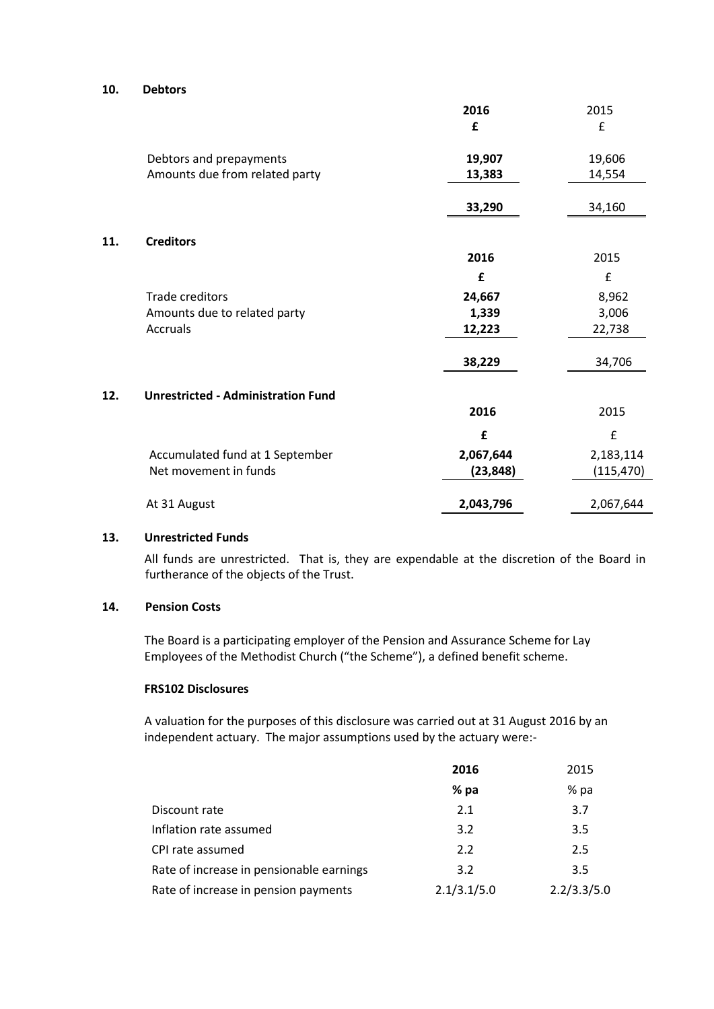### **10. Debtors**

|     |                                           | 2016      | 2015       |
|-----|-------------------------------------------|-----------|------------|
|     |                                           | £         | £          |
|     | Debtors and prepayments                   | 19,907    | 19,606     |
|     | Amounts due from related party            | 13,383    | 14,554     |
|     |                                           | 33,290    | 34,160     |
| 11. | <b>Creditors</b>                          |           |            |
|     |                                           | 2016      | 2015       |
|     |                                           | £         | £          |
|     | Trade creditors                           | 24,667    | 8,962      |
|     | Amounts due to related party              | 1,339     | 3,006      |
|     | Accruals                                  | 12,223    | 22,738     |
|     |                                           | 38,229    | 34,706     |
| 12. | <b>Unrestricted - Administration Fund</b> |           |            |
|     |                                           | 2016      | 2015       |
|     |                                           | £         | £          |
|     | Accumulated fund at 1 September           | 2,067,644 | 2,183,114  |
|     | Net movement in funds                     | (23, 848) | (115, 470) |
|     | At 31 August                              | 2,043,796 | 2,067,644  |

## **13. Unrestricted Funds**

All funds are unrestricted. That is, they are expendable at the discretion of the Board in furtherance of the objects of the Trust.

# **14. Pension Costs**

The Board is a participating employer of the Pension and Assurance Scheme for Lay Employees of the Methodist Church ("the Scheme"), a defined benefit scheme.

### **FRS102 Disclosures**

A valuation for the purposes of this disclosure was carried out at 31 August 2016 by an independent actuary. The major assumptions used by the actuary were:-

|                                          | 2016        | 2015        |
|------------------------------------------|-------------|-------------|
|                                          | % pa        | % pa        |
| Discount rate                            | 2.1         | 3.7         |
| Inflation rate assumed                   | 3.2         | 3.5         |
| CPI rate assumed                         | 2.2         | 2.5         |
| Rate of increase in pensionable earnings | 3.2         | 3.5         |
| Rate of increase in pension payments     | 2.1/3.1/5.0 | 2.2/3.3/5.0 |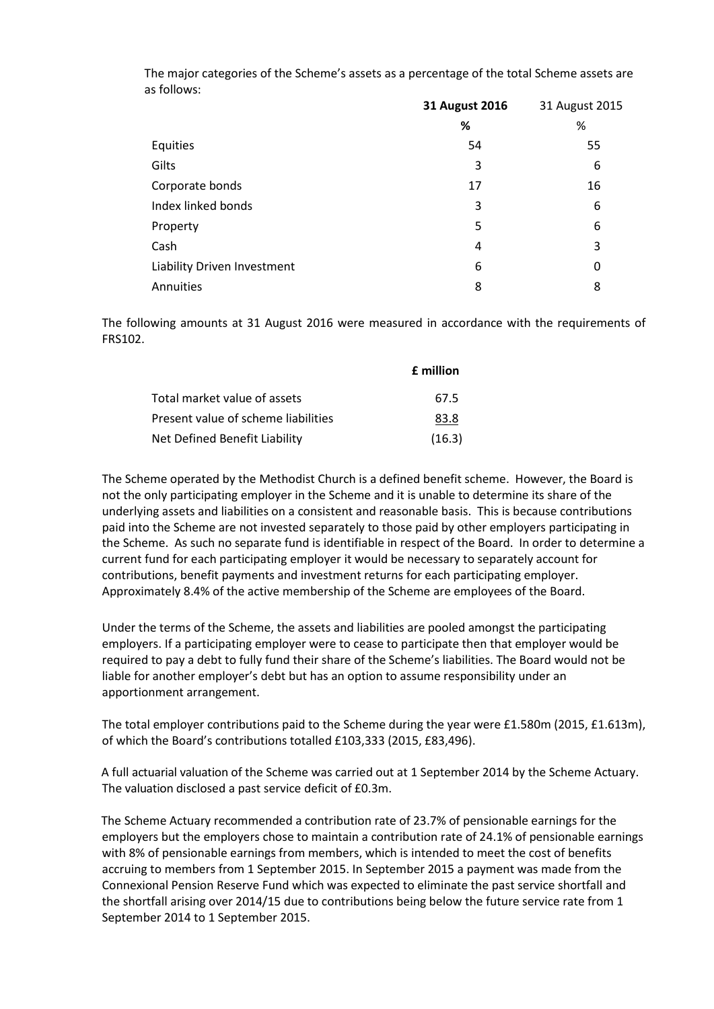| The major categories of the Scheme's assets as a percentage of the total Scheme assets are |  |
|--------------------------------------------------------------------------------------------|--|
| as follows:                                                                                |  |

|                             | 31 August 2016 | 31 August 2015 |
|-----------------------------|----------------|----------------|
|                             | %              | %              |
| Equities                    | 54             | 55             |
| Gilts                       | 3              | 6              |
| Corporate bonds             | 17             | 16             |
| Index linked bonds          | 3              | 6              |
| Property                    | 5              | 6              |
| Cash                        | 4              | 3              |
| Liability Driven Investment | 6              | 0              |
| Annuities                   | 8              | 8              |

The following amounts at 31 August 2016 were measured in accordance with the requirements of FRS102.

|                                     | <b>f</b> million |
|-------------------------------------|------------------|
| Total market value of assets        | 67.5             |
| Present value of scheme liabilities | 83.8             |
| Net Defined Benefit Liability       | (16.3)           |

The Scheme operated by the Methodist Church is a defined benefit scheme. However, the Board is not the only participating employer in the Scheme and it is unable to determine its share of the underlying assets and liabilities on a consistent and reasonable basis. This is because contributions paid into the Scheme are not invested separately to those paid by other employers participating in the Scheme. As such no separate fund is identifiable in respect of the Board. In order to determine a current fund for each participating employer it would be necessary to separately account for contributions, benefit payments and investment returns for each participating employer. Approximately 8.4% of the active membership of the Scheme are employees of the Board.

Under the terms of the Scheme, the assets and liabilities are pooled amongst the participating employers. If a participating employer were to cease to participate then that employer would be required to pay a debt to fully fund their share of the Scheme's liabilities. The Board would not be liable for another employer's debt but has an option to assume responsibility under an apportionment arrangement.

The total employer contributions paid to the Scheme during the year were £1.580m (2015, £1.613m), of which the Board's contributions totalled £103,333 (2015, £83,496).

A full actuarial valuation of the Scheme was carried out at 1 September 2014 by the Scheme Actuary. The valuation disclosed a past service deficit of £0.3m.

The Scheme Actuary recommended a contribution rate of 23.7% of pensionable earnings for the employers but the employers chose to maintain a contribution rate of 24.1% of pensionable earnings with 8% of pensionable earnings from members, which is intended to meet the cost of benefits accruing to members from 1 September 2015. In September 2015 a payment was made from the Connexional Pension Reserve Fund which was expected to eliminate the past service shortfall and the shortfall arising over 2014/15 due to contributions being below the future service rate from 1 September 2014 to 1 September 2015.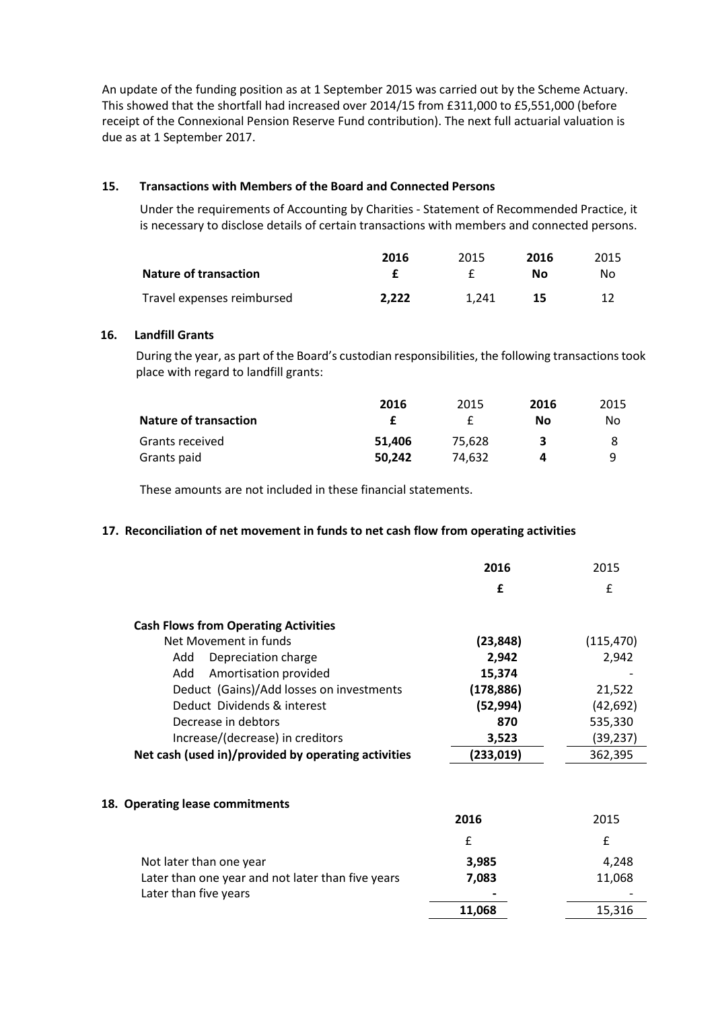An update of the funding position as at 1 September 2015 was carried out by the Scheme Actuary. This showed that the shortfall had increased over 2014/15 from £311,000 to £5,551,000 (before receipt of the Connexional Pension Reserve Fund contribution). The next full actuarial valuation is due as at 1 September 2017.

# **15. Transactions with Members of the Board and Connected Persons**

Under the requirements of Accounting by Charities - Statement of Recommended Practice, it is necessary to disclose details of certain transactions with members and connected persons.

|                              | 2016  | 2015  | 2016 | 2015 |
|------------------------------|-------|-------|------|------|
| <b>Nature of transaction</b> |       |       | Nο   | Nο   |
| Travel expenses reimbursed   | 2.222 | 1.241 | 15   |      |

# **16. Landfill Grants**

During the year, as part of the Board's custodian responsibilities, the following transactions took place with regard to landfill grants:

|                              | 2016   | 2015   | 2016 | 2015 |
|------------------------------|--------|--------|------|------|
| <b>Nature of transaction</b> |        |        | Nο   | Nο   |
| Grants received              | 51.406 | 75.628 |      |      |
| Grants paid                  | 50.242 | 74.632 | д    | q    |

These amounts are not included in these financial statements.

## **17. Reconciliation of net movement in funds to net cash flow from operating activities**

|                                                     | 2016       | 2015       |
|-----------------------------------------------------|------------|------------|
|                                                     | £          | £          |
| <b>Cash Flows from Operating Activities</b>         |            |            |
| Net Movement in funds                               | (23, 848)  | (115, 470) |
| Add<br>Depreciation charge                          | 2,942      | 2,942      |
| Amortisation provided<br>Add                        | 15,374     |            |
| Deduct (Gains)/Add losses on investments            | (178, 886) | 21,522     |
| Deduct Dividends & interest                         | (52, 994)  | (42, 692)  |
| Decrease in debtors                                 | 870        | 535,330    |
| Increase/(decrease) in creditors                    | 3,523      | (39, 237)  |
| Net cash (used in)/provided by operating activities | (233,019)  | 362,395    |
| 18. Operating lease commitments                     |            |            |
|                                                     | 2016       | 2015       |
|                                                     | £          | f          |
| Not later than one year                             | 3,985      | 4,248      |
| Later than one year and not later than five years   | 7,083      | 11,068     |
| Later than five years                               |            |            |
|                                                     | 11,068     | 15,316     |